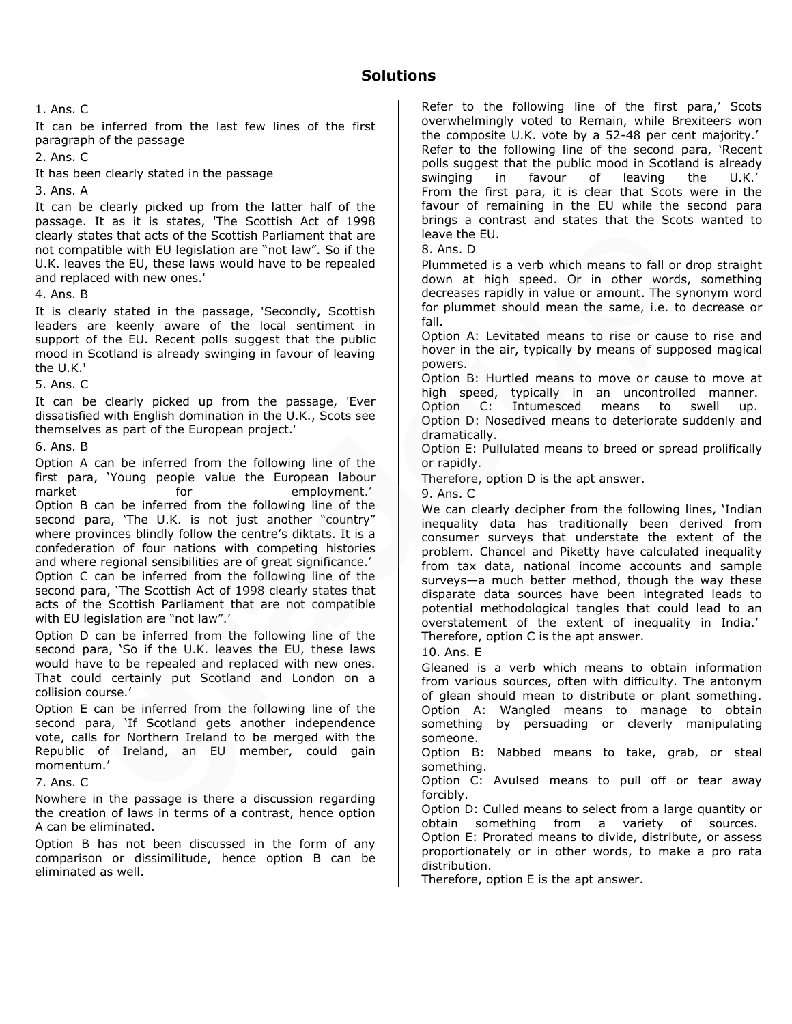It can be inferred from the last few lines of the first paragraph of the passage

2. Ans. C

It has been clearly stated in the passage

3. Ans. A

It can be clearly picked up from the latter half of the passage. It as it is states, 'The Scottish Act of 1998 clearly states that acts of the Scottish Parliament that are not compatible with EU legislation are "not law". So if the U.K. leaves the EU, these laws would have to be repealed and replaced with new ones.'

4. Ans. B

It is clearly stated in the passage, 'Secondly, Scottish leaders are keenly aware of the local sentiment in support of the EU. Recent polls suggest that the public mood in Scotland is already swinging in favour of leaving the U.K.'

5. Ans. C

It can be clearly picked up from the passage, 'Ever dissatisfied with English domination in the U.K., Scots see themselves as part of the European project.'

6. Ans. B

Option A can be inferred from the following line of the first para, 'Young people value the European labour market for for employment.' Option B can be inferred from the following line of the second para, 'The U.K. is not just another "country" where provinces blindly follow the centre's diktats. It is a confederation of four nations with competing histories and where regional sensibilities are of great significance.' Option C can be inferred from the following line of the second para, 'The Scottish Act of 1998 clearly states that acts of the Scottish Parliament that are not compatible with EU legislation are "not law".'

Option D can be inferred from the following line of the second para, 'So if the U.K. leaves the EU, these laws would have to be repealed and replaced with new ones. That could certainly put Scotland and London on a collision course.'

Option E can be inferred from the following line of the second para, 'If Scotland gets another independence vote, calls for Northern Ireland to be merged with the Republic of Ireland, an EU member, could gain momentum.'

7. Ans. C

Nowhere in the passage is there a discussion regarding the creation of laws in terms of a contrast, hence option A can be eliminated.

Option B has not been discussed in the form of any comparison or dissimilitude, hence option B can be eliminated as well.

Refer to the following line of the first para,' Scots overwhelmingly voted to Remain, while Brexiteers won the composite U.K. vote by a 52-48 per cent majority.' Refer to the following line of the second para, 'Recent polls suggest that the public mood in Scotland is already swinging in favour of leaving the U.K.' From the first para, it is clear that Scots were in the favour of remaining in the EU while the second para brings a contrast and states that the Scots wanted to leave the EU.

8. Ans. D

Plummeted is a verb which means to fall or drop straight down at high speed. Or in other words, something decreases rapidly in value or amount. The synonym word for plummet should mean the same, i.e. to decrease or fall.

Option A: Levitated means to rise or cause to rise and hover in the air, typically by means of supposed magical powers.

Option B: Hurtled means to move or cause to move at high speed, typically in an uncontrolled manner.

Option C: Intumesced means to swell up. Option D: Nosedived means to deteriorate suddenly and dramatically.

Option E: Pullulated means to breed or spread prolifically or rapidly.

Therefore, option D is the apt answer.

9. Ans. C

We can clearly decipher from the following lines, 'Indian inequality data has traditionally been derived from consumer surveys that understate the extent of the problem. Chancel and Piketty have calculated inequality from tax data, national income accounts and sample surveys—a much better method, though the way these disparate data sources have been integrated leads to potential methodological tangles that could lead to an overstatement of the extent of inequality in India.' Therefore, option C is the apt answer.

10. Ans. E

Gleaned is a verb which means to obtain information from various sources, often with difficulty. The antonym of glean should mean to distribute or plant something. Option A: Wangled means to manage to obtain something by persuading or cleverly manipulating someone.

Option B: Nabbed means to take, grab, or steal something.

Option C: Avulsed means to pull off or tear away forcibly.

Option D: Culled means to select from a large quantity or obtain something from a variety of sources. Option E: Prorated means to divide, distribute, or assess proportionately or in other words, to make a pro rata distribution.

Therefore, option E is the apt answer.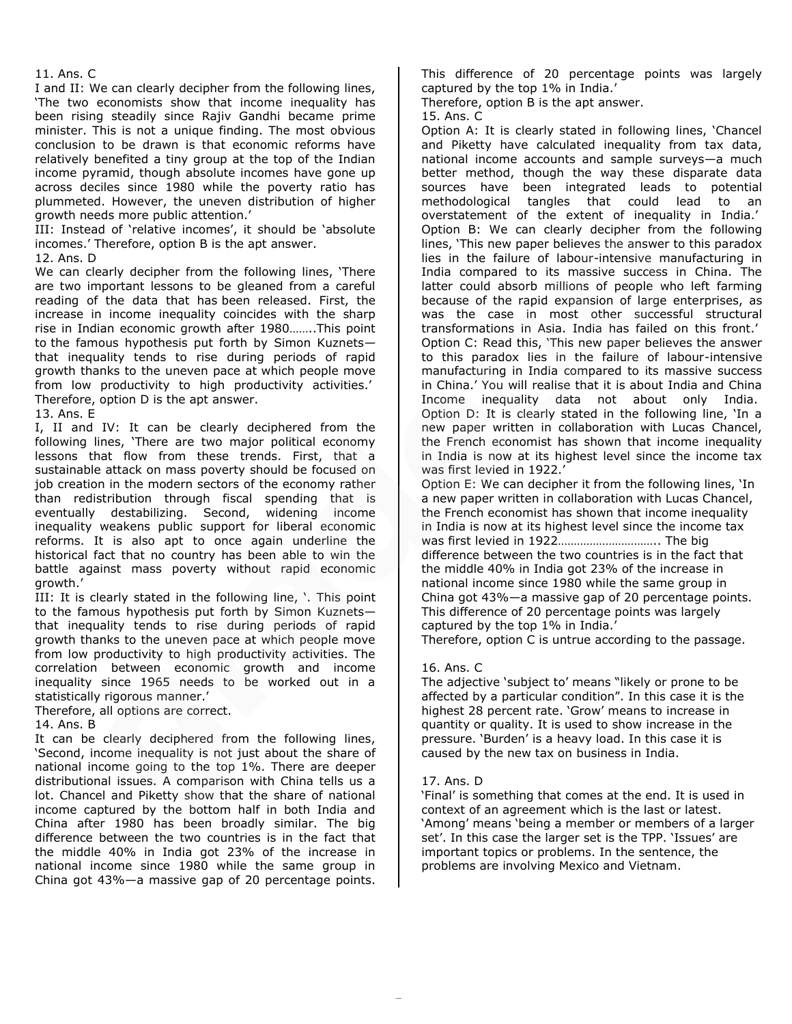I and II: We can clearly decipher from the following lines, 'The two economists show that income inequality has been rising steadily since Rajiv Gandhi became prime minister. This is not a unique finding. The most obvious conclusion to be drawn is that economic reforms have relatively benefited a tiny group at the top of the Indian income pyramid, though absolute incomes have gone up across deciles since 1980 while the poverty ratio has plummeted. However, the uneven distribution of higher growth needs more public attention.'

III: Instead of 'relative incomes', it should be 'absolute incomes.' Therefore, option B is the apt answer.

12. Ans. D

We can clearly decipher from the following lines, 'There are two important lessons to be gleaned from a careful reading of the data that has been released. First, the increase in income inequality coincides with the sharp rise in Indian economic growth after 1980……..This point to the famous hypothesis put forth by Simon Kuznets that inequality tends to rise during periods of rapid growth thanks to the uneven pace at which people move from low productivity to high productivity activities.' Therefore, option D is the apt answer.

13. Ans. E

I, II and IV: It can be clearly deciphered from the following lines, 'There are two major political economy lessons that flow from these trends. First, that a sustainable attack on mass poverty should be focused on job creation in the modern sectors of the economy rather than redistribution through fiscal spending that is eventually destabilizing. Second, widening income inequality weakens public support for liberal economic reforms. It is also apt to once again underline the historical fact that no country has been able to win the battle against mass poverty without rapid economic growth.'

III: It is clearly stated in the following line, '. This point to the famous hypothesis put forth by Simon Kuznets that inequality tends to rise during periods of rapid growth thanks to the uneven pace at which people move from low productivity to high productivity activities. The correlation between economic growth and income inequality since 1965 needs to be worked out in a statistically rigorous manner.'

Therefore, all options are correct.

14. Ans. B

It can be clearly deciphered from the following lines, 'Second, income inequality is not just about the share of national income going to the top 1%. There are deeper distributional issues. A comparison with China tells us a lot. Chancel and Piketty show that the share of national income captured by the bottom half in both India and China after 1980 has been broadly similar. The big difference between the two countries is in the fact that the middle 40% in India got 23% of the increase in national income since 1980 while the same group in China got 43%—a massive gap of 20 percentage points.

This difference of 20 percentage points was largely captured by the top 1% in India.'

Therefore, option B is the apt answer.

15. Ans. C

Option A: It is clearly stated in following lines, 'Chancel and Piketty have calculated inequality from tax data, national income accounts and sample surveys—a much better method, though the way these disparate data sources have been integrated leads to potential methodological tangles that could lead to an overstatement of the extent of inequality in India.' Option B: We can clearly decipher from the following lines, 'This new paper believes the answer to this paradox lies in the failure of labour-intensive manufacturing in India compared to its massive success in China. The latter could absorb millions of people who left farming because of the rapid expansion of large enterprises, as was the case in most other successful structural transformations in Asia. India has failed on this front.' Option C: Read this, 'This new paper believes the answer to this paradox lies in the failure of labour-intensive manufacturing in India compared to its massive success in China.' You will realise that it is about India and China Income inequality data not about only India. Option D: It is clearly stated in the following line, 'In a new paper written in collaboration with Lucas Chancel, the French economist has shown that income inequality in India is now at its highest level since the income tax was first levied in 1922.'

Option E: We can decipher it from the following lines, 'In a new paper written in collaboration with Lucas Chancel, the French economist has shown that income inequality in India is now at its highest level since the income tax was first levied in 1922………………………….. The big difference between the two countries is in the fact that the middle 40% in India got 23% of the increase in national income since 1980 while the same group in China got 43%—a massive gap of 20 percentage points. This difference of 20 percentage points was largely captured by the top 1% in India.' Therefore, option C is untrue according to the passage.

16. Ans. C

The adjective 'subject to' means "likely or prone to be affected by a particular condition". In this case it is the highest 28 percent rate. 'Grow' means to increase in quantity or quality. It is used to show increase in the pressure. 'Burden' is a heavy load. In this case it is caused by the new tax on business in India.

# 17. Ans. D

'Final' is something that comes at the end. It is used in context of an agreement which is the last or latest. 'Among' means 'being a member or members of a larger set'. In this case the larger set is the TPP. 'Issues' are important topics or problems. In the sentence, the problems are involving Mexico and Vietnam.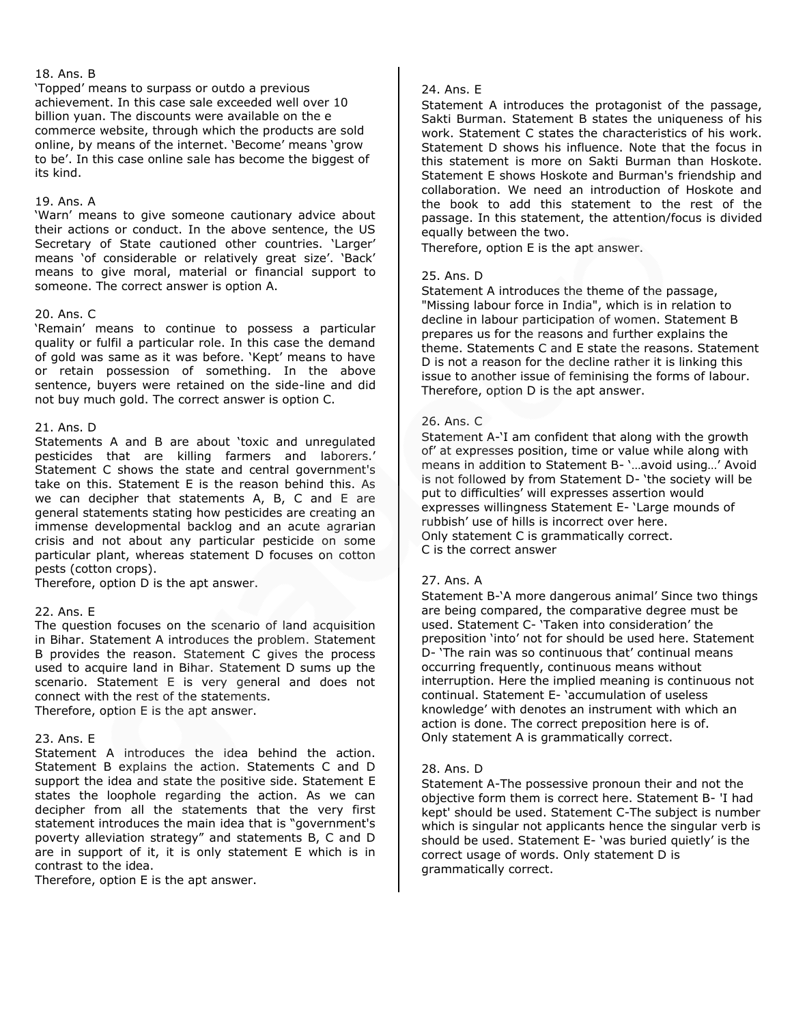#### 18. Ans. B

'Topped' means to surpass or outdo a previous achievement. In this case sale exceeded well over 10 billion yuan. The discounts were available on the e commerce website, through which the products are sold online, by means of the internet. 'Become' means 'grow to be'. In this case online sale has become the biggest of its kind.

#### 19. Ans. A

'Warn' means to give someone cautionary advice about their actions or conduct. In the above sentence, the US Secretary of State cautioned other countries. 'Larger' means 'of considerable or relatively great size'. 'Back' means to give moral, material or financial support to someone. The correct answer is option A.

#### 20. Ans. C

'Remain' means to continue to possess a particular quality or fulfil a particular role. In this case the demand of gold was same as it was before. 'Kept' means to have or retain possession of something. In the above sentence, buyers were retained on the side-line and did not buy much gold. The correct answer is option C.

#### 21. Ans. D

Statements A and B are about 'toxic and unregulated pesticides that are killing farmers and laborers.' Statement C shows the state and central government's take on this. Statement E is the reason behind this. As we can decipher that statements A, B, C and E are general statements stating how pesticides are creating an immense developmental backlog and an acute agrarian crisis and not about any particular pesticide on some particular plant, whereas statement D focuses on cotton pests (cotton crops).

Therefore, option D is the apt answer.

#### 22. Ans. E

The question focuses on the scenario of land acquisition in Bihar. Statement A introduces the problem. Statement B provides the reason. Statement C gives the process used to acquire land in Bihar. Statement D sums up the scenario. Statement E is very general and does not connect with the rest of the statements. Therefore, option E is the apt answer.

#### 23. Ans. E

Statement A introduces the idea behind the action. Statement B explains the action. Statements C and D support the idea and state the positive side. Statement E states the loophole regarding the action. As we can decipher from all the statements that the very first statement introduces the main idea that is "government's poverty alleviation strategy" and statements B, C and D are in support of it, it is only statement E which is in contrast to the idea.

Therefore, option E is the apt answer.

#### 24. Ans. E

Statement A introduces the protagonist of the passage, Sakti Burman. Statement B states the uniqueness of his work. Statement C states the characteristics of his work. Statement D shows his influence. Note that the focus in this statement is more on Sakti Burman than Hoskote. Statement E shows Hoskote and Burman's friendship and collaboration. We need an introduction of Hoskote and the book to add this statement to the rest of the passage. In this statement, the attention/focus is divided equally between the two.

Therefore, option E is the apt answer.

#### 25. Ans. D

Statement A introduces the theme of the passage, "Missing labour force in India", which is in relation to decline in labour participation of women. Statement B prepares us for the reasons and further explains the theme. Statements C and E state the reasons. Statement D is not a reason for the decline rather it is linking this issue to another issue of feminising the forms of labour. Therefore, option D is the apt answer.

#### 26. Ans. C

Statement A-'I am confident that along with the growth of' at expresses position, time or value while along with means in addition to Statement B- '…avoid using…' Avoid is not followed by from Statement D- 'the society will be put to difficulties' will expresses assertion would expresses willingness Statement E- 'Large mounds of rubbish' use of hills is incorrect over here. Only statement C is grammatically correct. C is the correct answer

#### 27. Ans. A

Statement B-'A more dangerous animal' Since two things are being compared, the comparative degree must be used. Statement C- 'Taken into consideration' the preposition 'into' not for should be used here. Statement D- 'The rain was so continuous that' continual means occurring frequently, continuous means without interruption. Here the implied meaning is continuous not continual. Statement E- 'accumulation of useless knowledge' with denotes an instrument with which an action is done. The correct preposition here is of. Only statement A is grammatically correct.

#### 28. Ans. D

Statement A-The possessive pronoun their and not the objective form them is correct here. Statement B- 'I had kept' should be used. Statement C-The subject is number which is singular not applicants hence the singular verb is should be used. Statement E- 'was buried quietly' is the correct usage of words. Only statement D is grammatically correct.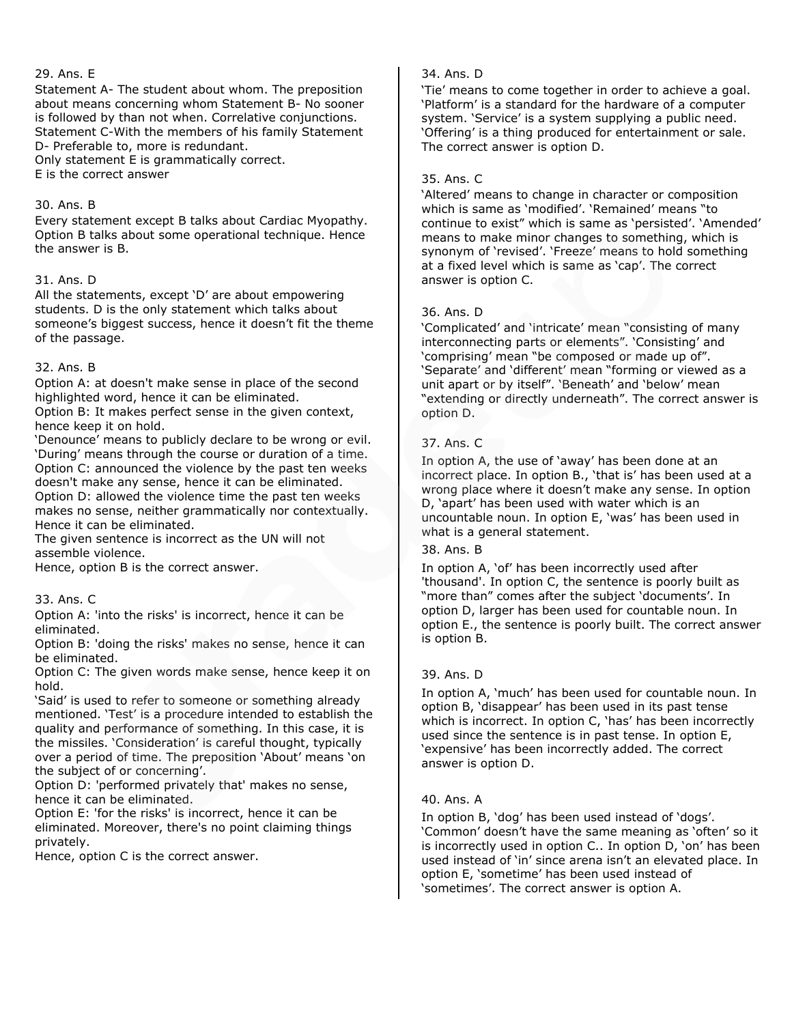## 29. Ans. E

Statement A- The student about whom. The preposition about means concerning whom Statement B- No sooner is followed by than not when. Correlative conjunctions. Statement C-With the members of his family Statement D- Preferable to, more is redundant. Only statement E is grammatically correct.

E is the correct answer

#### 30. Ans. B

Every statement except B talks about Cardiac Myopathy. Option B talks about some operational technique. Hence the answer is B.

#### 31. Ans. D

All the statements, except 'D' are about empowering students. D is the only statement which talks about someone's biggest success, hence it doesn't fit the theme of the passage.

## 32. Ans. B

Option A: at doesn't make sense in place of the second highlighted word, hence it can be eliminated.

Option B: It makes perfect sense in the given context, hence keep it on hold.

'Denounce' means to publicly declare to be wrong or evil. 'During' means through the course or duration of a time. Option C: announced the violence by the past ten weeks doesn't make any sense, hence it can be eliminated. Option D: allowed the violence time the past ten weeks makes no sense, neither grammatically nor contextually. Hence it can be eliminated.

The given sentence is incorrect as the UN will not assemble violence.

Hence, option B is the correct answer.

# 33. Ans. C

Option A: 'into the risks' is incorrect, hence it can be eliminated.

Option B: 'doing the risks' makes no sense, hence it can be eliminated.

Option C: The given words make sense, hence keep it on hold.

'Said' is used to refer to someone or something already mentioned. 'Test' is a procedure intended to establish the quality and performance of something. In this case, it is the missiles. 'Consideration' is careful thought, typically over a period of time. The preposition 'About' means 'on the subject of or concerning'.

Option D: 'performed privately that' makes no sense, hence it can be eliminated.

Option E: 'for the risks' is incorrect, hence it can be eliminated. Moreover, there's no point claiming things privately.

Hence, option C is the correct answer.

# 34. Ans. D

'Tie' means to come together in order to achieve a goal. 'Platform' is a standard for the hardware of a computer system. 'Service' is a system supplying a public need. 'Offering' is a thing produced for entertainment or sale. The correct answer is option D.

# 35. Ans. C

'Altered' means to change in character or composition which is same as 'modified'. 'Remained' means "to continue to exist" which is same as 'persisted'. 'Amended' means to make minor changes to something, which is synonym of 'revised'. 'Freeze' means to hold something at a fixed level which is same as 'cap'. The correct answer is option C.

# 36. Ans. D

'Complicated' and 'intricate' mean "consisting of many interconnecting parts or elements". 'Consisting' and 'comprising' mean "be composed or made up of". 'Separate' and 'different' mean "forming or viewed as a unit apart or by itself". 'Beneath' and 'below' mean "extending or directly underneath". The correct answer is option D.

# 37. Ans. C

In option A, the use of 'away' has been done at an incorrect place. In option B., 'that is' has been used at a wrong place where it doesn't make any sense. In option D, 'apart' has been used with water which is an uncountable noun. In option E, 'was' has been used in what is a general statement.

# 38. Ans. B

In option A, 'of' has been incorrectly used after 'thousand'. In option C, the sentence is poorly built as "more than" comes after the subject 'documents'. In option D, larger has been used for countable noun. In option E., the sentence is poorly built. The correct answer is option B.

# 39. Ans. D

In option A, 'much' has been used for countable noun. In option B, 'disappear' has been used in its past tense which is incorrect. In option C, 'has' has been incorrectly used since the sentence is in past tense. In option E, 'expensive' has been incorrectly added. The correct answer is option D.

# 40. Ans. A

In option B, 'dog' has been used instead of 'dogs'. 'Common' doesn't have the same meaning as 'often' so it is incorrectly used in option C.. In option D, 'on' has been used instead of 'in' since arena isn't an elevated place. In option E, 'sometime' has been used instead of 'sometimes'. The correct answer is option A.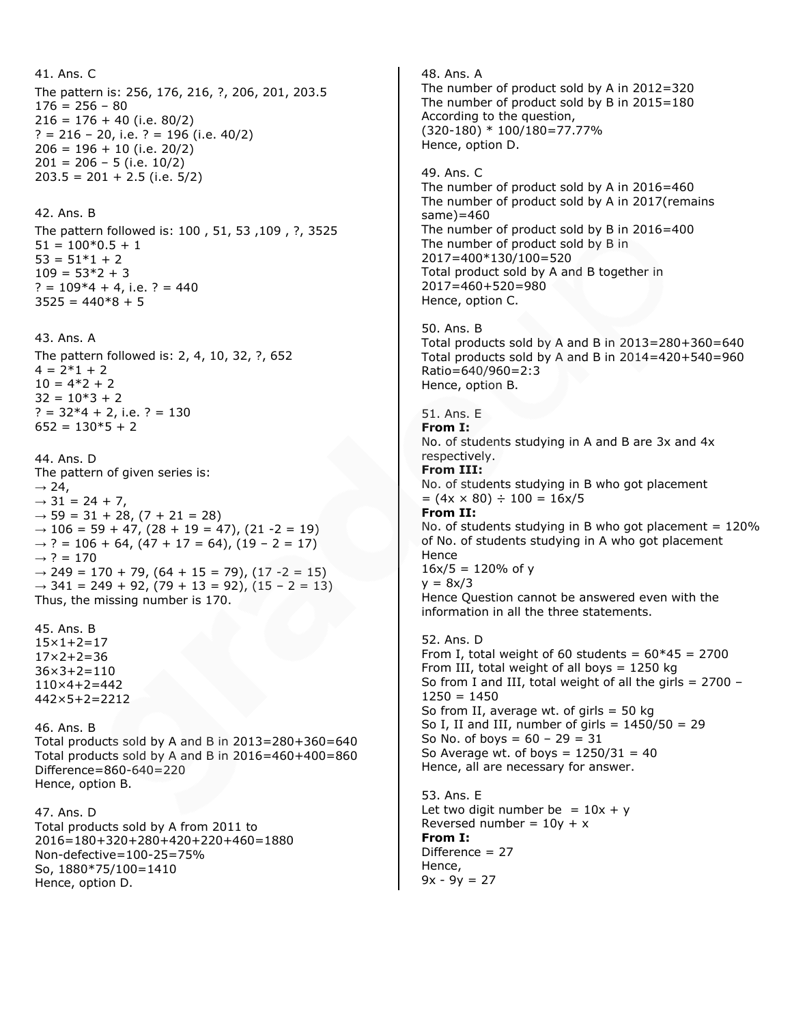```
41. Ans. C
The pattern is: 256, 176, 216, ?, 206, 201, 203.5
176 = 256 - 80216 = 176 + 40 (i.e. 80/2)
? = 216 - 20, i.e. ? = 196 (i.e. 40/2)
206 = 196 + 10 (i.e. 20/2)
201 = 206 - 5 (i.e. 10/2)
203.5 = 201 + 2.5 (i.e. 5/2)
42. Ans. B
The pattern followed is: 100 , 51, 53 ,109 , ?, 3525
51 = 100*0.5 + 153 = 51*1 + 2109 = 53*2 + 3? = 109*4 + 4, i.e. ? = 440
3525 = 440*8 + 543. Ans. A
The pattern followed is: 2, 4, 10, 32, ?, 652
4 = 2*1 + 210 = 4*2 + 232 = 10*3 + 2? = 32*4 + 2, i.e. ? = 130652 = 130*5 + 244. Ans. D
The pattern of given series is:
\rightarrow 24,
\rightarrow 31 = 24 + 7,
\rightarrow 59 = 31 + 28, (7 + 21 = 28)
\rightarrow 106 = 59 + 47, (28 + 19 = 47), (21 -2 = 19)
\rightarrow ? = 106 + 64, (47 + 17 = 64), (19 - 2 = 17)
\rightarrow ? = 170
\rightarrow 249 = 170 + 79, (64 + 15 = 79), (17 -2 = 15)
\rightarrow 341 = 249 + 92, (79 + 13 = 92), (15 - 2 = 13)
Thus, the missing number is 170.
45. Ans. B
15×1+2=17
17×2+2=36
36 \times 3 + 2 = 110110×4+2=442
442×5+2=2212
46. Ans. B
Total products sold by A and B in 2013=280+360=640
Total products sold by A and B in 2016=460+400=860
Difference=860-640=220
Hence, option B.
47. Ans. D
Total products sold by A from 2011 to 
2016=180+320+280+420+220+460=1880
Non-defective=100-25=75%
So, 1880*75/100=1410
Hence, option D.
                                                                48. Ans. A
                                                                The number of product sold by A in 2012=320
                                                                The number of product sold by B in 2015=180
                                                                According to the question,
                                                                (320-180) * 100/180=77.77%
                                                                Hence, option D.
                                                                49. Ans. C
                                                                The number of product sold by A in 2016=460
                                                                The number of product sold by A in 2017(remains 
                                                                same)=460
                                                                The number of product sold by B in 2016=400
                                                                The number of product sold by B in 
                                                                2017=400*130/100=520
                                                                Total product sold by A and B together in 
                                                                2017=460+520=980
                                                                Hence, option C.
                                                                50. Ans. B
                                                                Total products sold by A and B in 2013=280+360=640
                                                                Total products sold by A and B in 2014=420+540=960
                                                                Ratio=640/960=2:3
                                                                Hence, option B.
                                                                51. Ans. E
                                                                From I:
                                                                No. of students studying in A and B are 3x and 4x 
                                                                respectively.
                                                                From III:
                                                                No. of students studying in B who got placement
                                                                = (4x \times 80) \div 100 = 16x/5From II:
                                                                No. of students studying in B who got placement = 120\%of No. of students studying in A who got placement 
                                                                Hence
                                                                16x/5 = 120% of y
                                                                y = 8x/3Hence Question cannot be answered even with the 
                                                                information in all the three statements.
                                                                52. Ans. D
                                                                From I, total weight of 60 students = 60*45 = 2700From III, total weight of all boys = 1250 kg
                                                                So from I and III, total weight of all the girls = 2700 - 11250 = 1450So from II, average wt. of girls = 50 kg
                                                                So I, II and III, number of girls = 1450/50 = 29So No. of boys = 60 - 29 = 31So Average wt. of boys = 1250/31 = 40Hence, all are necessary for answer.
                                                                53. Ans. E
                                                                Let two digit number be = 10x + yReversed number = 10y + xFrom I:
                                                                Difference = 27
                                                                Hence,
                                                                9x - 9y = 27
```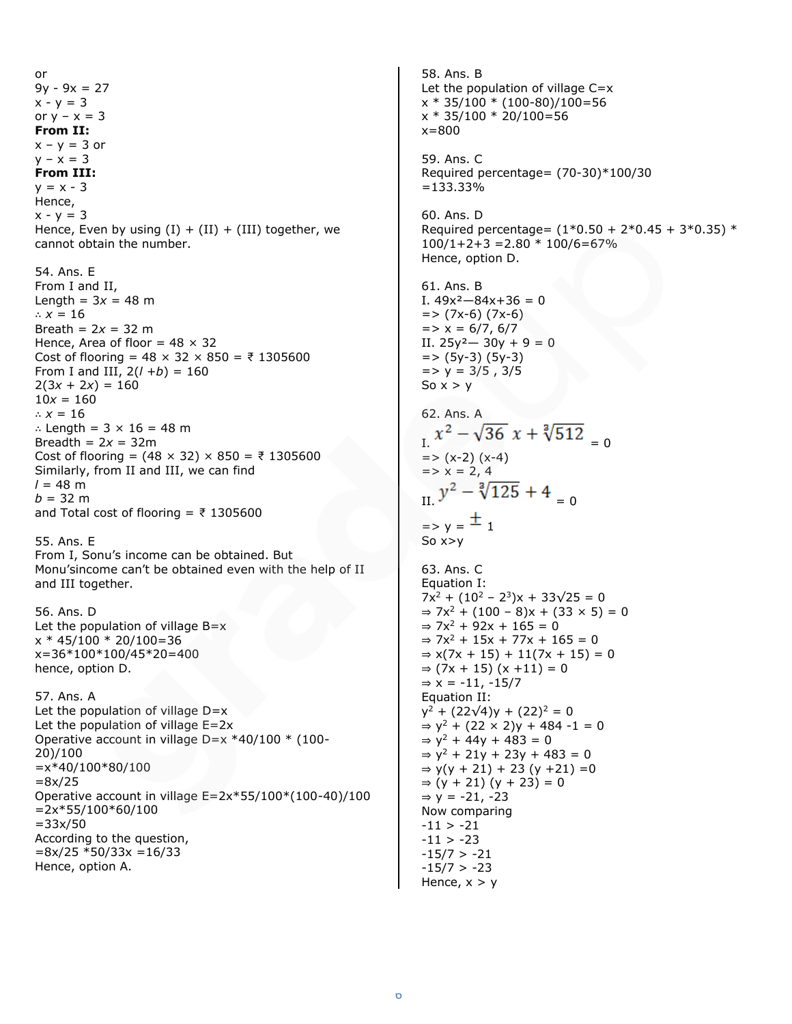or  $9y - 9x = 27$  $x - y = 3$ or  $y - x = 3$ **From II:**  $x - y = 3$  or  $y - x = 3$ **From III:**  $y = x - 3$ Hence,  $x - y = 3$ Hence, Even by using  $(I) + (II) + (III)$  together, we cannot obtain the number. 54. Ans. E From I and II, Length =  $3x = 48$  m ∴ *x =* 16 Breath =  $2x = 32$  m Hence, Area of floor =  $48 \times 32$ Cost of flooring = 48 × 32 × 850 = ₹ 1305600 From I and III,  $2(l + b) = 160$  $2(3x + 2x) = 160$  $10x = 160$ ∴  $x = 16$ ∴ Length = 3 × 16 = 48 m Breadth =  $2x = 32$ m Cost of flooring = (48 × 32) × 850 = ₹ 1305600 Similarly, from II and III, we can find  $l = 48$  m  $b = 32 \text{ m}$ and Total cost of flooring =  $\overline{z}$  1305600 55. Ans. E From I, Sonu's income can be obtained. But Monu'sincome can't be obtained even with the help of II and III together. 56. Ans. D Let the population of village  $B=x$  $x * 45/100 * 20/100 = 36$ x=36\*100\*100/45\*20=400 hence, option D. 57. Ans. A Let the population of village  $D=x$ Let the population of village E=2x Operative account in village D=x \*40/100 \* (100- 20)/100  $=x*40/100*80/100$  $=8x/25$ Operative account in village E=2x\*55/100\*(100-40)/100  $=2x*55/100*60/100$  $=33x/50$ According to the question,  $=8x/25 * 50/33x = 16/33$ Hence, option A.

58. Ans. B Let the population of village  $C=x$  $x * 35/100 * (100-80)/100=56$ x \* 35/100 \* 20/100=56 x=800 59. Ans. C Required percentage= (70-30)\*100/30 =133.33% 60. Ans. D Required percentage=  $(1*0.50 + 2*0.45 + 3*0.35)$  \*  $100/1+2+3 = 2.80 * 100/6 = 67%$ Hence, option D. 61. Ans. B I.  $49x^2 - 84x + 36 = 0$  $=$  >  $(7x-6)$   $(7x-6)$  $=$  >  $x = 6/7, 6/7$ II.  $25y^2 - 30y + 9 = 0$  $=$  >  $(5y-3)(5y-3)$  $=$  >  $y = 3/5$ , 3/5 So  $x > y$ 62. Ans. A  $x^2 - \sqrt{36} x + \sqrt[3]{512}$  $=$  >  $(x-2)(x-4)$  $\Rightarrow$   $x = 2, 4$  $y^2 - \sqrt[3]{125} + 4 = 0$  $=$  > y =  $\pm$  1 So x>y 63. Ans. C Equation I:  $7x^2 + (10^2 - 2^3)x + 33\sqrt{25} = 0$  $\Rightarrow$  7x<sup>2</sup> + (100 – 8)x + (33 × 5) = 0  $\Rightarrow$  7x<sup>2</sup> + 92x + 165 = 0  $\Rightarrow$  7x<sup>2</sup> + 15x + 77x + 165 = 0  $\Rightarrow$  x(7x + 15) + 11(7x + 15) = 0  $\Rightarrow$  (7x + 15) (x + 11) = 0  $\Rightarrow$  x = -11, -15/7 Equation II:  $y^2 + (22\sqrt{4})y + (22)^2 = 0$  $\Rightarrow$  y<sup>2</sup> + (22 × 2)y + 484 -1 = 0  $\Rightarrow$  y<sup>2</sup> + 44y + 483 = 0  $\Rightarrow$  y<sup>2</sup> + 21y + 23y + 483 = 0  $\Rightarrow$  y(y + 21) + 23 (y +21) = 0  $⇒ (y + 21)(y + 23) = 0$  $⇒ y = -21, -23$ Now comparing  $-11 > -21$  $-11 > -23$  $-15/7$  >  $-21$  $-15/7$  >  $-23$ Hence,  $x > y$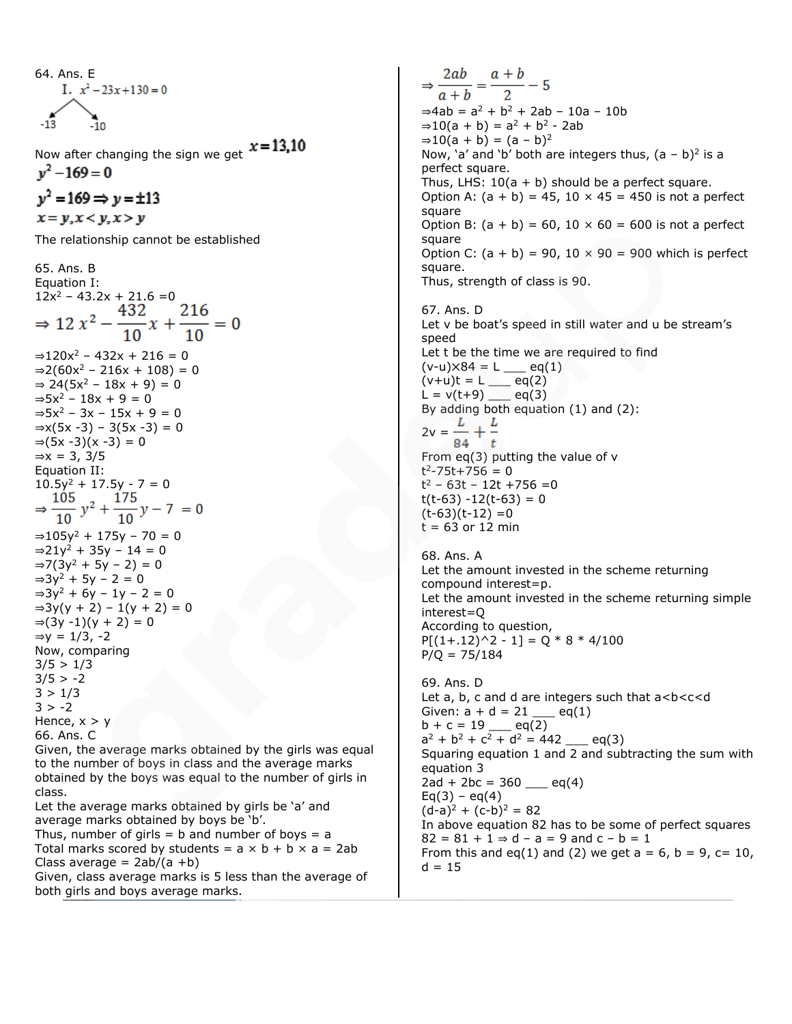64. Ans. E  
I. 
$$
x^2 - 23x + 130 = 0
$$
  
-13

Now after changing the sign we get  $x=13.10$  $v^2 - 169 = 0$ 

 $v^2 = 169 \Rightarrow v = \pm 13$  $x = y, x < y, x > y$ 

The relationship cannot be established

65. Ans. B Equation I:  $12x^2 - 43.2x + 21.6 = 0$ <br>  $\Rightarrow 12x^2 - \frac{432}{10}x + \frac{216}{10} = 0$  $\Rightarrow$ 120x<sup>2</sup> – 432x + 216 = 0  $\Rightarrow$ 2(60x<sup>2</sup> – 216x + 108) = 0 ⇒ 24( $5x^2 - 18x + 9$ ) = 0  $\Rightarrow$  5x<sup>2</sup> – 18x + 9 = 0  $\Rightarrow$  5x<sup>2</sup> – 3x – 15x + 9 = 0  $\Rightarrow$ x(5x -3) – 3(5x -3) = 0  $\Rightarrow (5x - 3)(x - 3) = 0$  $\Rightarrow$ x = 3, 3/5 Equation II: 10.5y<sup>2</sup> + 17.5y - 7 = 0<br>  $\Rightarrow \frac{105}{10} y^2 + \frac{175}{10} y - 7 = 0$  $\Rightarrow$ 105y<sup>2</sup> + 175y - 70 = 0  $\Rightarrow$ 21y<sup>2</sup> + 35y - 14 = 0  $\Rightarrow$ 7(3y<sup>2</sup> + 5y − 2) = 0  $\Rightarrow 3y^2 + 5y - 2 = 0$  $\Rightarrow$ 3y<sup>2</sup> + 6y − 1y − 2 = 0  $\Rightarrow$ 3y(y + 2) – 1(y + 2) = 0  $\Rightarrow$  (3y -1)(y + 2) = 0  $\Rightarrow$ y = 1/3, -2 Now, comparing  $3/5 > 1/3$  $3/5$  > -2  $3 > 1/3$  $3 > -2$ Hence,  $x > y$ 66. Ans. C Given, the average marks obtained by the girls was equal

to the number of boys in class and the average marks obtained by the boys was equal to the number of girls in class.

Let the average marks obtained by girls be 'a' and average marks obtained by boys be 'b'.

Thus, number of girls  $=$  b and number of boys  $=$  a Total marks scored by students =  $a \times b + b \times a = 2ab$ Class average  $= 2ab/(a + b)$ 

Given, class average marks is 5 less than the average of both girls and boys average marks.

 $\Rightarrow \frac{2ab}{a+b} = \frac{a+b}{2} - 5$  $\Rightarrow$ 4ab =  $a^2 + b^2 + 2ab - 10a - 10b$  $\Rightarrow 10(a + b) = a^2 + b^2 - 2ab$  $\Rightarrow 10(a + b) = (a - b)^2$ Now, 'a' and 'b' both are integers thus,  $(a - b)^2$  is a perfect square. Thus, LHS:  $10(a + b)$  should be a perfect square. Option A:  $(a + b) = 45$ , 10  $\times$  45 = 450 is not a perfect square Option B:  $(a + b) = 60$ ,  $10 \times 60 = 600$  is not a perfect square Option C:  $(a + b) = 90$ ,  $10 \times 90 = 900$  which is perfect square. Thus, strength of class is 90. 67. Ans. D Let v be boat's speed in still water and u be stream's speed Let t be the time we are required to find  $(v-u) \times 84 = L$  eq(1)  $(v+u)t = L$  eq(2)  $L = v(t+9)$  eq(3) By adding both equation (1) and (2):  $2v = \frac{L}{2} + \frac{L}{2}$  $84 \t t$ From eq(3) putting the value of v  $t^2 - 75t + 756 = 0$ t <sup>2</sup> – 63t – 12t +756 =0  $t(t-63) -12(t-63) = 0$  $(t-63)(t-12) = 0$  $t = 63$  or 12 min 68. Ans. A Let the amount invested in the scheme returning compound interest=p. Let the amount invested in the scheme returning simple interest=Q According to question,  $P[(1+.12)^2 - 1] = Q * 8 * 4/100$ 

69. Ans. D Let  $a, b, c$  and  $d$  are integers such that  $a < b < c < d$ Given:  $a + d = 21$  <u>eq</u>(1)  $b + c = 19$  eq(2)  $a^2 + b^2 + c^2 + d^2 = 442$  \_\_ eq(3) Squaring equation 1 and 2 and subtracting the sum with equation 3  $2ad + 2bc = 360$  eq(4)  $Eq(3) - eq(4)$  $(d-a)^2 + (c-b)^2 = 82$ In above equation 82 has to be some of perfect squares  $82 = 81 + 1 \Rightarrow d - a = 9$  and  $c - b = 1$ From this and eq(1) and (2) we get  $a = 6$ ,  $b = 9$ ,  $c = 10$ ,  $d = 15$ 

 $P/Q = 75/184$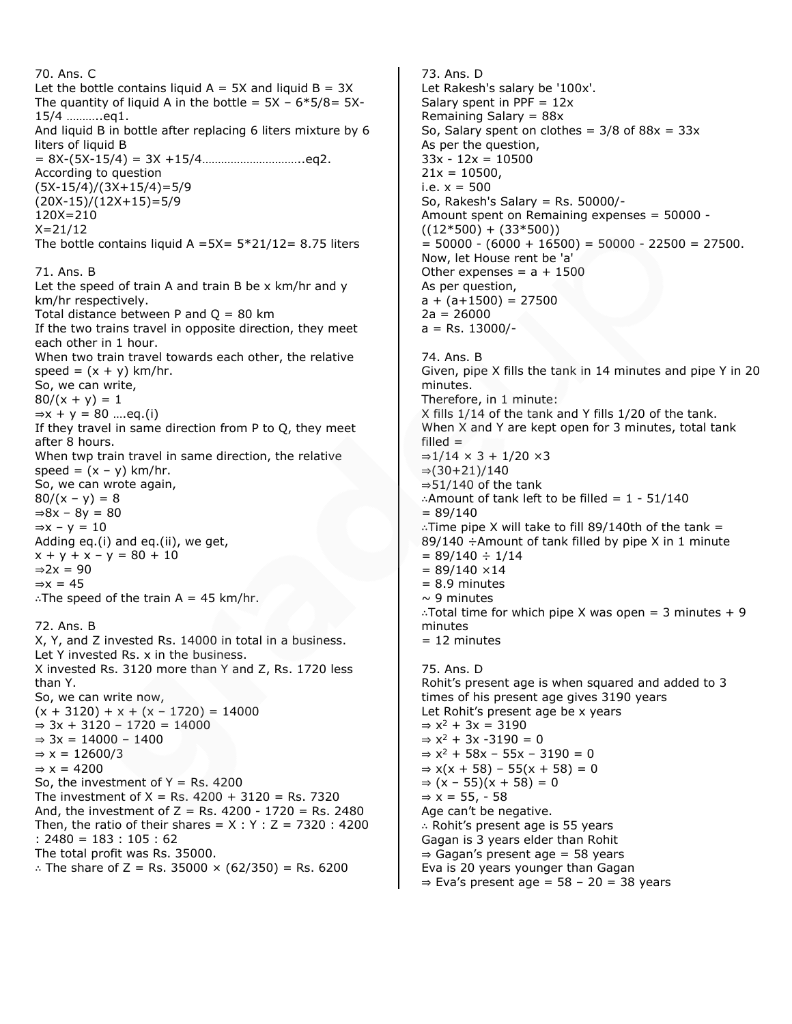70. Ans. C Let the bottle contains liquid  $A = 5X$  and liquid  $B = 3X$ The quantity of liquid A in the bottle =  $5X - 6*5/8 = 5X$ -15/4 ………..eq1. And liquid B in bottle after replacing 6 liters mixture by 6 liters of liquid B = 8X-(5X-15/4) = 3X +15/4…………………………..eq2. According to question (5X-15/4)/(3X+15/4)=5/9 (20X-15)/(12X+15)=5/9 120X=210  $X = 21/12$ The bottle contains liquid A =5X=  $5*21/12= 8.75$  liters 71. Ans. B Let the speed of train A and train B be x km/hr and y km/hr respectively. Total distance between P and  $Q = 80$  km If the two trains travel in opposite direction, they meet each other in 1 hour. When two train travel towards each other, the relative  $speed = (x + y) km/hr.$ So, we can write,  $80/(x + y) = 1$  $\Rightarrow$ x + y = 80 ....eq.(i) If they travel in same direction from P to Q, they meet after 8 hours. When twp train travel in same direction, the relative  $speed = (x - y) km/hr.$ So, we can wrote again,  $80/(x - y) = 8$  $\Rightarrow 8x - 8y = 80$  $\Rightarrow$ x – y = 10 Adding eq.(i) and eq.(ii), we get,  $x + y + x - y = 80 + 10$  $\Rightarrow$  2x = 90  $\Rightarrow$ x = 45 ∴The speed of the train A = 45 km/hr. 72. Ans. B X, Y, and Z invested Rs. 14000 in total in a business. Let Y invested Rs. x in the business. X invested Rs. 3120 more than Y and Z, Rs. 1720 less than Y. So, we can write now,  $(x + 3120) + x + (x - 1720) = 14000$  $\Rightarrow 3x + 3120 - 1720 = 14000$  $⇒ 3x = 14000 - 1400$  $\Rightarrow$  x = 12600/3  $\Rightarrow$  x = 4200 So, the investment of  $Y = \text{Rs. } 4200$ The investment of  $X = Rs. 4200 + 3120 = Rs. 7320$ And, the investment of  $Z = Rs$ . 4200 - 1720 = Rs. 2480 Then, the ratio of their shares =  $X : Y : Z = 7320 : 4200$ : 2480 = 183 : 105 : 62 The total profit was Rs. 35000. ∴ The share of Z = Rs. 35000 × (62/350) = Rs. 6200

73. Ans. D Let Rakesh's salary be '100x'. Salary spent in PPF  $= 12x$ Remaining Salary = 88x So, Salary spent on clothes =  $3/8$  of  $88x = 33x$ As per the question,  $33x - 12x = 10500$  $21x = 10500$ , i.e.  $x = 500$ So, Rakesh's Salary = Rs. 50000/- Amount spent on Remaining expenses = 50000 -  $((12*500) + (33*500))$  $= 50000 - (6000 + 16500) = 50000 - 22500 = 27500.$ Now, let House rent be 'a' Other expenses =  $a + 1500$ As per question,  $a + (a+1500) = 27500$  $2a = 26000$  $a = Rs. 13000/-$ 74. Ans. B Given, pipe X fills the tank in 14 minutes and pipe Y in 20 minutes. Therefore, in 1 minute: X fills 1/14 of the tank and Y fills 1/20 of the tank. When X and Y are kept open for 3 minutes, total tank  $filled =$  $\Rightarrow$ 1/14 × 3 + 1/20 ×3  $\Rightarrow$ (30+21)/140  $\Rightarrow$  51/140 of the tank ∴Amount of tank left to be filled =  $1 - 51/140$  $= 89/140$ ∴Time pipe X will take to fill 89/140th of the tank = 89/140 ÷Amount of tank filled by pipe X in 1 minute  $= 89/140 \div 1/14$  $= 89/140 \times 14$ = 8.9 minutes  $\sim$  9 minutes ∴Total time for which pipe X was open = 3 minutes + 9 minutes = 12 minutes 75. Ans. D Rohit's present age is when squared and added to 3 times of his present age gives 3190 years Let Rohit's present age be x years  $\Rightarrow$  x<sup>2</sup> + 3x = 3190  $\Rightarrow$  x<sup>2</sup> + 3x -3190 = 0  $\Rightarrow$  x<sup>2</sup> + 58x - 55x - 3190 = 0  $\Rightarrow$  x(x + 58) − 55(x + 58) = 0  $\Rightarrow$  (x − 55)(x + 58) = 0  $\Rightarrow$  x = 55, − 58 Age can't be negative. ∴ Rohit's present age is 55 years Gagan is 3 years elder than Rohit ⇒ Gagan's present age = 58 years Eva is 20 years younger than Gagan  $\Rightarrow$  Eva's present age = 58 - 20 = 38 years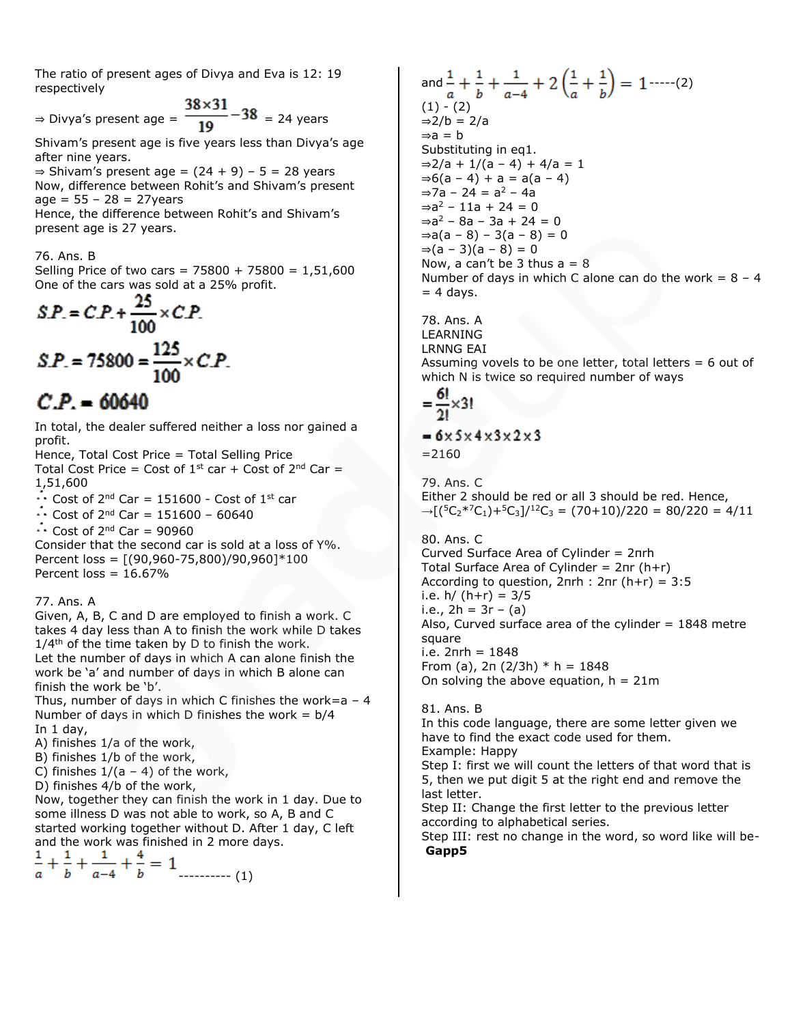The ratio of present ages of Divya and Eva is 12: 19 respectively

 $\Rightarrow$  Divya's present age =  $\frac{38 \times 31}{19} - 38$  = 24 years

Shivam's present age is five years less than Divya's age after nine years.

 $\Rightarrow$  Shivam's present age =  $(24 + 9) - 5 = 28$  years Now, difference between Rohit's and Shivam's present  $age = 55 - 28 = 27 years$ 

Hence, the difference between Rohit's and Shivam's present age is 27 years.

76. Ans. B

Selling Price of two cars =  $75800 + 75800 = 1,51,600$ One of the cars was sold at a 25% profit.

$$
SP = CP + \frac{25}{100} \times CP.
$$
  

$$
SP = 75800 = \frac{125}{100} \times CP.
$$

# $CP = 60640$

In total, the dealer suffered neither a loss nor gained a profit.

Hence, Total Cost Price = Total Selling Price Total Cost Price = Cost of  $1^{st}$  car + Cost of  $2^{nd}$  Car =

1,51,600

 $\cdots$  Cost of 2<sup>nd</sup> Car = 151600 - Cost of 1<sup>st</sup> car

 $\cdots$  Cost of 2<sup>nd</sup> Car = 151600 - 60640

 $\cdots$  Cost of 2<sup>nd</sup> Car = 90960

Consider that the second car is sold at a loss of Y%. Percent loss = [(90,960-75,800)/90,960]\*100 Percent loss =  $16.67\%$ 

# 77. Ans. A

Given, A, B, C and D are employed to finish a work. C takes 4 day less than A to finish the work while D takes  $1/4$ <sup>th</sup> of the time taken by D to finish the work. Let the number of days in which A can alone finish the work be 'a' and number of days in which B alone can finish the work be 'b'.

Thus, number of days in which C finishes the work=a  $-4$ Number of days in which D finishes the work =  $b/4$ In 1 day,

A) finishes 1/a of the work,

B) finishes 1/b of the work,

C) finishes  $1/(a - 4)$  of the work,

D) finishes 4/b of the work,

Now, together they can finish the work in 1 day. Due to some illness D was not able to work, so A, B and C started working together without D. After 1 day, C left and the work was finished in 2 more days.

---------- (1)

and  $\frac{1}{a} + \frac{1}{b} + \frac{1}{a-4} + 2\left(\frac{1}{a} + \frac{1}{b}\right) = 1$  -----(2)  $(1) - (2)$ ⇒2/b = 2/a  $\Rightarrow a = b$ Substituting in eq1.  $\Rightarrow$ 2/a + 1/(a - 4) + 4/a = 1  $\Rightarrow$  6(a – 4) + a = a(a – 4)  $\Rightarrow$ 7a – 24 = a<sup>2</sup> – 4a ⇒a <sup>2</sup> – 11a + 24 = 0 ⇒a <sup>2</sup> – 8a – 3a + 24 = 0  $\Rightarrow$ a(a – 8) – 3(a – 8) = 0  $\Rightarrow$  (a − 3)(a − 8) = 0 Now, a can't be 3 thus  $a = 8$ Number of days in which C alone can do the work =  $8 - 4$  $= 4$  days.

78. Ans. A LEARNING LRNNG EAI Assuming vovels to be one letter, total letters  $= 6$  out of which N is twice so required number of ways

$$
=\frac{6!}{2!}\times3!
$$

# $= 6 \times 5 \times 4 \times 3 \times 2 \times 3$  $= 2160$

79. Ans. C Either 2 should be red or all 3 should be red. Hence,  $\rightarrow$ [(<sup>5</sup>C<sub>2</sub>\*<sup>7</sup>C<sub>1</sub>)+<sup>5</sup>C<sub>3</sub>]/<sup>12</sup>C<sub>3</sub> = (70+10)/220 = 80/220 = 4/11

80. Ans. C Curved Surface Area of Cylinder = 2πrh Total Surface Area of Cylinder = 2πr (h+r) According to question,  $2\pi rh$  :  $2\pi r$  ( $h+r$ ) = 3:5 i.e.  $h / (h + r) = 3/5$ i.e.,  $2h = 3r - (a)$ Also, Curved surface area of the cylinder  $= 1848$  metre square i.e. 2πrh = 1848 From (a), 2π (2/3h) \* h = 1848 On solving the above equation,  $h = 21m$ 

# 81. Ans. B

In this code language, there are some letter given we have to find the exact code used for them. Example: Happy Step I: first we will count the letters of that word that is 5, then we put digit 5 at the right end and remove the last letter. Step II: Change the first letter to the previous letter according to alphabetical series.

Step III: rest no change in the word, so word like will be-**Gapp5**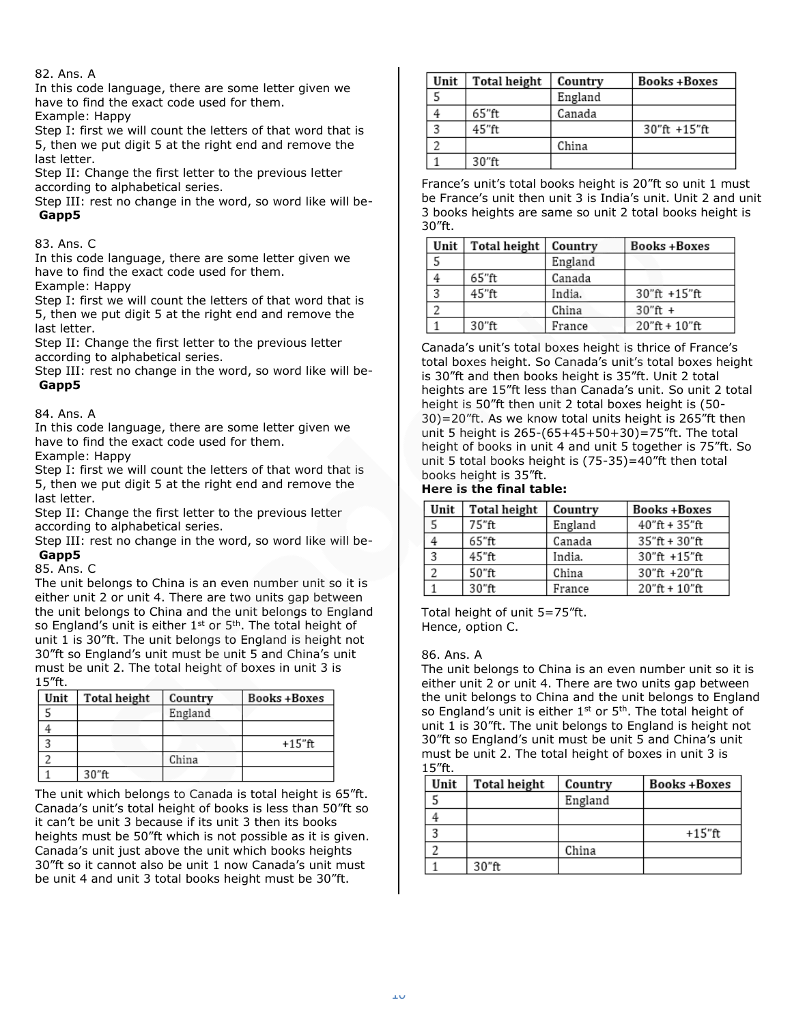# 82. Ans. A

In this code language, there are some letter given we have to find the exact code used for them.

Example: Happy

Step I: first we will count the letters of that word that is 5, then we put digit 5 at the right end and remove the last letter.

Step II: Change the first letter to the previous letter according to alphabetical series.

Step III: rest no change in the word, so word like will be-**Gapp5**

# 83. Ans. C

In this code language, there are some letter given we have to find the exact code used for them.

Example: Happy

Step I: first we will count the letters of that word that is 5, then we put digit 5 at the right end and remove the last letter.

Step II: Change the first letter to the previous letter according to alphabetical series.

Step III: rest no change in the word, so word like will be-**Gapp5**

# 84. Ans. A

In this code language, there are some letter given we have to find the exact code used for them.

Example: Happy

Step I: first we will count the letters of that word that is 5, then we put digit 5 at the right end and remove the last letter.

Step II: Change the first letter to the previous letter according to alphabetical series.

Step III: rest no change in the word, so word like will be-**Gapp5**

# 85. Ans. C

The unit belongs to China is an even number unit so it is either unit 2 or unit 4. There are two units gap between the unit belongs to China and the unit belongs to England so England's unit is either  $1<sup>st</sup>$  or  $5<sup>th</sup>$ . The total height of unit 1 is 30"ft. The unit belongs to England is height not 30"ft so England's unit must be unit 5 and China's unit must be unit 2. The total height of boxes in unit 3 is 15"ft.

| Unit | Total height | Country | <b>Books+Boxes</b> |
|------|--------------|---------|--------------------|
|      |              | England |                    |
|      |              |         |                    |
|      |              |         | $+15"$ ft          |
|      |              | China   |                    |
|      | 30"ft        |         |                    |

The unit which belongs to Canada is total height is 65"ft. Canada's unit's total height of books is less than 50"ft so it can't be unit 3 because if its unit 3 then its books heights must be 50"ft which is not possible as it is given. Canada's unit just above the unit which books heights 30"ft so it cannot also be unit 1 now Canada's unit must be unit 4 and unit 3 total books height must be 30"ft.

| Unit | Total height | Country | Books+Boxes     |
|------|--------------|---------|-----------------|
|      |              | England |                 |
|      | 65"ft        | Canada  |                 |
|      | 45"ft        |         | $30"$ ft +15"ft |
|      |              | China   |                 |
|      | 30"ft        |         |                 |

France's unit's total books height is 20"ft so unit 1 must be France's unit then unit 3 is India's unit. Unit 2 and unit 3 books heights are same so unit 2 total books height is 30"ft.

| Unit | <b>Total height</b> | Country | <b>Books+Boxes</b>  |
|------|---------------------|---------|---------------------|
|      |                     | England |                     |
|      | 65"ft               | Canada  |                     |
|      | 45"ft               | India.  | 30"ft +15"ft        |
|      |                     | China   | $30"$ ft +          |
|      | 30"ft               | France  | $20$ "ft + $10$ "ft |

Canada's unit's total boxes height is thrice of France's total boxes height. So Canada's unit's total boxes height is 30"ft and then books height is 35"ft. Unit 2 total heights are 15"ft less than Canada's unit. So unit 2 total height is 50"ft then unit 2 total boxes height is (50- 30)=20"ft. As we know total units height is 265"ft then unit 5 height is 265-(65+45+50+30)=75"ft. The total height of books in unit 4 and unit 5 together is 75"ft. So unit 5 total books height is (75-35)=40"ft then total books height is 35"ft.

# **Here is the final table:**

| Unit | <b>Total height</b> | Country | <b>Books+Boxes</b>  |
|------|---------------------|---------|---------------------|
|      | 75"ft               | England | $40''$ ft + 35"ft   |
|      | 65"ft               | Canada  | $35"$ ft + $30"$ ft |
|      | 45"ft               | India.  | $30"$ ft +15"ft     |
|      | 50"ft               | China   | $30"$ ft +20"ft     |
|      | 30"ft               | France  | $20"$ ft + $10"$ ft |

Total height of unit 5=75"ft. Hence, option C.

# 86. Ans. A

The unit belongs to China is an even number unit so it is either unit 2 or unit 4. There are two units gap between the unit belongs to China and the unit belongs to England so England's unit is either 1<sup>st</sup> or 5<sup>th</sup>. The total height of unit 1 is 30"ft. The unit belongs to England is height not 30"ft so England's unit must be unit 5 and China's unit must be unit 2. The total height of boxes in unit 3 is 15"ft.

| Unit | Total height | Country | Books+Boxes |
|------|--------------|---------|-------------|
|      |              | England |             |
|      |              |         |             |
|      |              |         | $+15$ "ft   |
|      |              | China   |             |
|      | 30"ft        |         |             |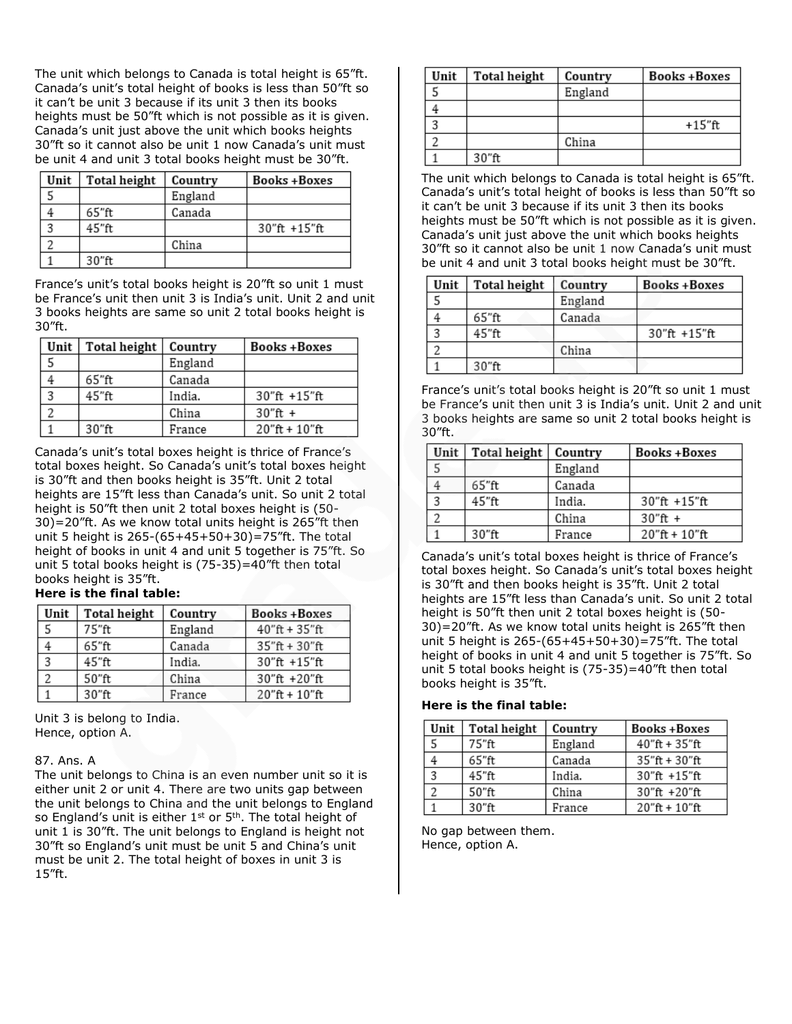The unit which belongs to Canada is total height is 65"ft. Canada's unit's total height of books is less than 50"ft so it can't be unit 3 because if its unit 3 then its books heights must be 50"ft which is not possible as it is given. Canada's unit just above the unit which books heights 30"ft so it cannot also be unit 1 now Canada's unit must be unit 4 and unit 3 total books height must be 30"ft.

| Unit | <b>Total height</b> | Country | <b>Books+Boxes</b> |
|------|---------------------|---------|--------------------|
|      |                     | England |                    |
|      | 65"ft               | Canada  |                    |
|      | 45"ft               |         | $30"$ ft +15"ft    |
|      |                     | China   |                    |
|      | 30"ft               |         |                    |

France's unit's total books height is 20"ft so unit 1 must be France's unit then unit 3 is India's unit. Unit 2 and unit 3 books heights are same so unit 2 total books height is 30"ft.

| Unit | Total height | Country | <b>Books +Boxes</b> |
|------|--------------|---------|---------------------|
|      |              | England |                     |
|      | 65"ft        | Canada  |                     |
| 2    | 45"ft        | India.  | $30"$ ft +15"ft     |
|      |              | China   | $30"$ ft +          |
|      | 30"ft        | France  | $20"$ ft + $10"$ ft |

Canada's unit's total boxes height is thrice of France's total boxes height. So Canada's unit's total boxes height is 30"ft and then books height is 35"ft. Unit 2 total heights are 15"ft less than Canada's unit. So unit 2 total height is 50"ft then unit 2 total boxes height is (50- 30)=20"ft. As we know total units height is 265"ft then unit 5 height is 265-(65+45+50+30)=75"ft. The total height of books in unit 4 and unit 5 together is 75"ft. So unit 5 total books height is (75-35)=40"ft then total books height is 35"ft.

# **Here is the final table:**

| Unit | Total height | Country | <b>Books+Boxes</b>    |
|------|--------------|---------|-----------------------|
|      | 75"ft        | England | $40''$ ft + 35"ft     |
|      | 65"ft        | Canada  | $35''$ ft + $30''$ ft |
| 3    | 45"ft        | India.  | $30"$ ft +15"ft       |
| າ    | 50"ft        | China   | 30"ft +20"ft          |
|      | 30"ft        | France  | $20"$ ft + $10"$ ft   |

Unit 3 is belong to India. Hence, option A.

# 87. Ans. A

The unit belongs to China is an even number unit so it is either unit 2 or unit 4. There are two units gap between the unit belongs to China and the unit belongs to England so England's unit is either  $1<sup>st</sup>$  or  $5<sup>th</sup>$ . The total height of unit 1 is 30"ft. The unit belongs to England is height not 30"ft so England's unit must be unit 5 and China's unit must be unit 2. The total height of boxes in unit 3 is 15"ft.

| Unit | Total height | Country | <b>Books +Boxes</b> |
|------|--------------|---------|---------------------|
|      |              | England |                     |
|      |              |         |                     |
|      |              |         | +15"ft              |
|      |              | China   |                     |
|      | 30"ft        |         |                     |

The unit which belongs to Canada is total height is 65"ft. Canada's unit's total height of books is less than 50"ft so it can't be unit 3 because if its unit 3 then its books heights must be 50"ft which is not possible as it is given. Canada's unit just above the unit which books heights 30"ft so it cannot also be unit 1 now Canada's unit must be unit 4 and unit 3 total books height must be 30"ft.

| Unit | Total height | Country | Books +Boxes    |
|------|--------------|---------|-----------------|
|      |              | England |                 |
|      | 65"ft        | Canada  |                 |
|      | 45"ft        |         | $30"$ ft +15"ft |
|      |              | China   |                 |
|      | 30"ft        |         |                 |

France's unit's total books height is 20"ft so unit 1 must be France's unit then unit 3 is India's unit. Unit 2 and unit 3 books heights are same so unit 2 total books height is 30"ft.

| Unit                    | <b>Total height</b> | Country | Books+Boxes         |
|-------------------------|---------------------|---------|---------------------|
|                         |                     | England |                     |
|                         | 65"ft               | Canada  |                     |
| $\overline{\mathbf{2}}$ | 45"ft               | India.  | 30"ft +15"ft        |
|                         |                     | China   | $30''$ ft +         |
|                         | 30"ft               | France  | $20"$ ft + $10"$ ft |

Canada's unit's total boxes height is thrice of France's total boxes height. So Canada's unit's total boxes height is 30"ft and then books height is 35"ft. Unit 2 total heights are 15"ft less than Canada's unit. So unit 2 total height is 50"ft then unit 2 total boxes height is (50- 30)=20"ft. As we know total units height is 265"ft then unit 5 height is 265-(65+45+50+30)=75"ft. The total height of books in unit 4 and unit 5 together is 75"ft. So unit 5 total books height is (75-35)=40"ft then total books height is 35"ft.

# **Here is the final table:**

| Unit | Total height | Country | Books +Boxes        |
|------|--------------|---------|---------------------|
|      | 75"ft        | England | $40"$ ft + 35"ft    |
|      | 65"ft        | Canada  | $35"$ ft + $30"$ ft |
|      | 45"ft        | India.  | $30''$ ft +15"ft    |
|      | 50"ft        | China   | $30"$ ft +20"ft     |
|      | 30"ft        | France  | $20$ "ft + $10$ "ft |

No gap between them. Hence, option A.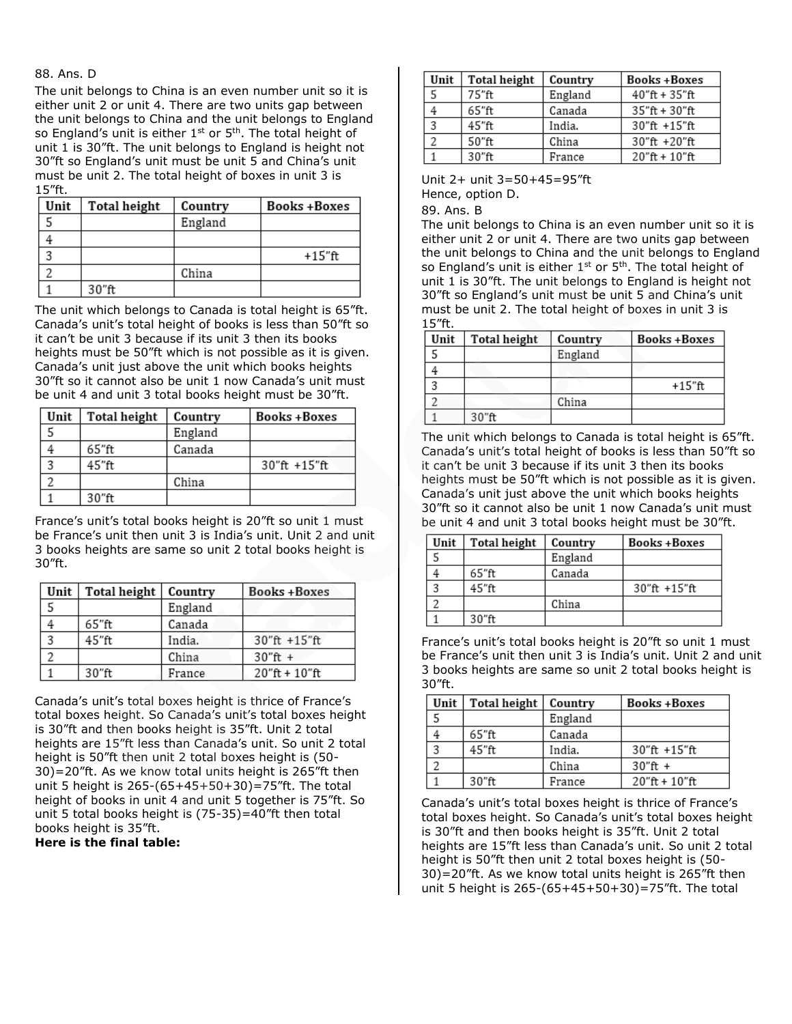#### 88. Ans. D

The unit belongs to China is an even number unit so it is either unit 2 or unit 4. There are two units gap between the unit belongs to China and the unit belongs to England so England's unit is either  $1<sup>st</sup>$  or  $5<sup>th</sup>$ . The total height of unit 1 is 30"ft. The unit belongs to England is height not 30"ft so England's unit must be unit 5 and China's unit must be unit 2. The total height of boxes in unit 3 is 15"ft.

| Unit | Total height | Country | <b>Books+Boxes</b> |
|------|--------------|---------|--------------------|
|      |              | England |                    |
|      |              |         |                    |
|      |              |         | +15"ft             |
|      |              | China   |                    |
|      | 30"ft        |         |                    |

The unit which belongs to Canada is total height is 65"ft. Canada's unit's total height of books is less than 50"ft so it can't be unit 3 because if its unit 3 then its books heights must be 50"ft which is not possible as it is given. Canada's unit just above the unit which books heights 30"ft so it cannot also be unit 1 now Canada's unit must be unit 4 and unit 3 total books height must be 30"ft.

| Unit | Total height | Country | <b>Books +Boxes</b> |
|------|--------------|---------|---------------------|
|      |              | England |                     |
|      | 65"ft        | Canada  |                     |
|      | 45"ft        |         | $30''$ ft +15"ft    |
|      |              | China   |                     |
|      | 30"ft        |         |                     |

France's unit's total books height is 20"ft so unit 1 must be France's unit then unit 3 is India's unit. Unit 2 and unit 3 books heights are same so unit 2 total books height is 30"ft.

| Unit                    | Total height | Country | <b>Books+Boxes</b>  |
|-------------------------|--------------|---------|---------------------|
|                         |              | England |                     |
|                         | 65"ft        | Canada  |                     |
| $\overline{\mathbf{z}}$ | 45"ft        | India.  | 30"ft +15"ft        |
|                         |              | China   | $30''$ ft +         |
|                         | 30"ft        | France  | $20$ "ft + $10$ "ft |

Canada's unit's total boxes height is thrice of France's total boxes height. So Canada's unit's total boxes height is 30"ft and then books height is 35"ft. Unit 2 total heights are 15"ft less than Canada's unit. So unit 2 total height is 50"ft then unit 2 total boxes height is (50- 30)=20"ft. As we know total units height is 265"ft then unit 5 height is 265-(65+45+50+30)=75"ft. The total height of books in unit 4 and unit 5 together is 75"ft. So unit 5 total books height is (75-35)=40"ft then total books height is 35"ft.

**Here is the final table:**

| Unit | Total height | Country | <b>Books+Boxes</b>  |
|------|--------------|---------|---------------------|
|      | 75"ft        | England | $40"$ ft + 35"ft    |
|      | 65"ft        | Canada  | $35"$ ft + $30"$ ft |
| 3    | 45"ft        | India.  | $30"$ ft +15"ft     |
|      | 50"ft        | China   | $30"$ ft +20"ft     |
|      | $30$ "ft.    | France  | $20"$ ft + $10"$ ft |

Unit 2+ unit 3=50+45=95"ft Hence, option D.

89. Ans. B

The unit belongs to China is an even number unit so it is either unit 2 or unit 4. There are two units gap between the unit belongs to China and the unit belongs to England so England's unit is either  $1<sup>st</sup>$  or  $5<sup>th</sup>$ . The total height of unit 1 is 30"ft. The unit belongs to England is height not 30"ft so England's unit must be unit 5 and China's unit must be unit 2. The total height of boxes in unit 3 is 15"ft.

| Unit | Total height | Country | <b>Books+Boxes</b> |
|------|--------------|---------|--------------------|
|      |              | England |                    |
|      |              |         |                    |
|      |              |         | +15"ft             |
|      |              | China   |                    |
|      | 30"ft        |         |                    |

The unit which belongs to Canada is total height is 65"ft. Canada's unit's total height of books is less than 50"ft so it can't be unit 3 because if its unit 3 then its books heights must be 50"ft which is not possible as it is given. Canada's unit just above the unit which books heights 30"ft so it cannot also be unit 1 now Canada's unit must be unit 4 and unit 3 total books height must be 30"ft.

| Unit | Total height | Country | Books+Boxes  |
|------|--------------|---------|--------------|
|      |              | England |              |
|      | 65"ft        | Canada  |              |
|      | 45"ft        |         | 30"ft +15"ft |
|      |              | China   |              |
|      | 30"ft        |         |              |

France's unit's total books height is 20"ft so unit 1 must be France's unit then unit 3 is India's unit. Unit 2 and unit 3 books heights are same so unit 2 total books height is 30"ft.

| Unit | <b>Total height</b> | Country | Books +Boxes        |
|------|---------------------|---------|---------------------|
|      |                     | England |                     |
|      | 65"ft               | Canada  |                     |
|      | 45"ft               | India.  | 30"ft +15"ft        |
|      |                     | China   | $30"$ ft +          |
|      | 30"ft               | France  | $20"$ ft + $10"$ ft |

Canada's unit's total boxes height is thrice of France's total boxes height. So Canada's unit's total boxes height is 30"ft and then books height is 35"ft. Unit 2 total heights are 15"ft less than Canada's unit. So unit 2 total height is 50"ft then unit 2 total boxes height is (50- 30)=20"ft. As we know total units height is 265"ft then unit 5 height is 265-(65+45+50+30)=75"ft. The total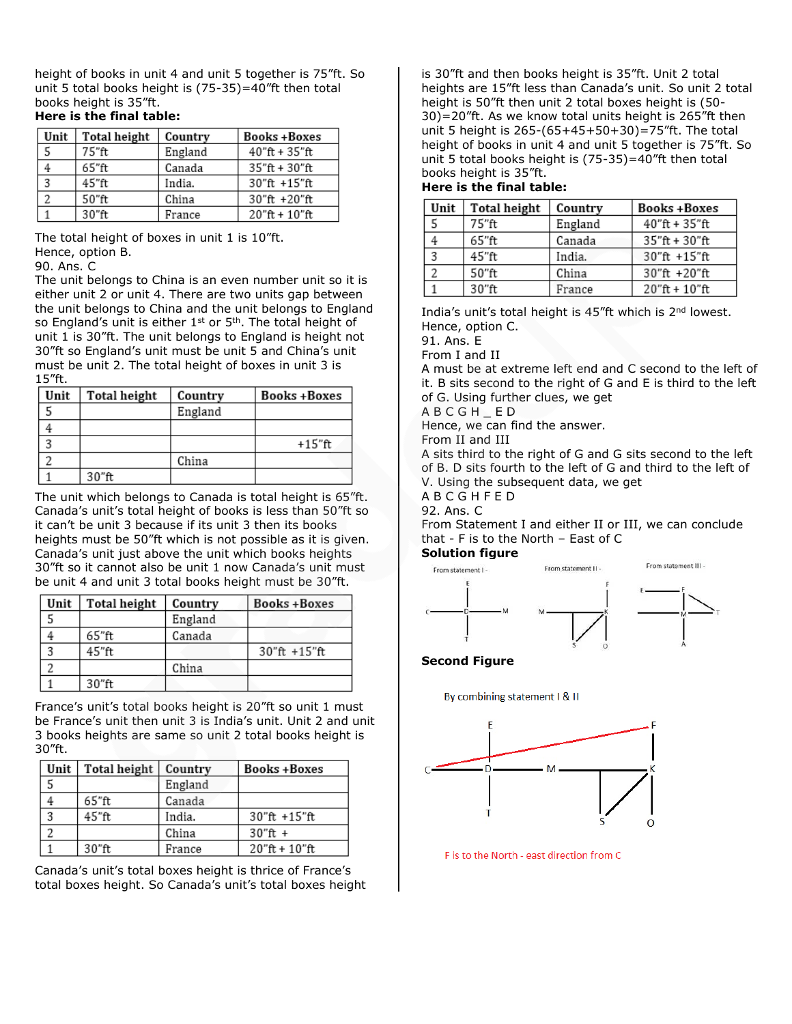height of books in unit 4 and unit 5 together is 75"ft. So unit 5 total books height is (75-35)=40"ft then total books height is 35"ft.

# **Here is the final table:**

| Unit | Total height | Country | <b>Books+Boxes</b>    |
|------|--------------|---------|-----------------------|
|      | 75"ft        | England | $40"$ ft + 35"ft      |
|      | 65"ft        | Canada  | $35''$ ft + $30''$ ft |
| 2    | 45"ft        | India.  | $30"$ ft +15"ft       |
|      | 50"ft        | China   | $30"$ ft +20"ft       |
|      | 30"ft        | France  | $20$ "ft + $10$ "ft   |

The total height of boxes in unit 1 is 10"ft. Hence, option B.

#### 90. Ans. C

The unit belongs to China is an even number unit so it is either unit 2 or unit 4. There are two units gap between the unit belongs to China and the unit belongs to England so England's unit is either  $1<sup>st</sup>$  or  $5<sup>th</sup>$ . The total height of unit 1 is 30"ft. The unit belongs to England is height not 30"ft so England's unit must be unit 5 and China's unit must be unit 2. The total height of boxes in unit 3 is 15"ft.

| Unit | Total height | Country | <b>Books+Boxes</b> |
|------|--------------|---------|--------------------|
|      |              | England |                    |
|      |              |         |                    |
|      |              |         | +15"ft             |
|      |              | China   |                    |
|      | 30"ft        |         |                    |

The unit which belongs to Canada is total height is 65"ft. Canada's unit's total height of books is less than 50"ft so it can't be unit 3 because if its unit 3 then its books heights must be 50"ft which is not possible as it is given. Canada's unit just above the unit which books heights 30"ft so it cannot also be unit 1 now Canada's unit must be unit 4 and unit 3 total books height must be 30"ft.

| Unit | Total height | Country | <b>Books+Boxes</b> |
|------|--------------|---------|--------------------|
|      |              | England |                    |
|      | 65"ft        | Canada  |                    |
|      | 45"ft        |         | $30"$ ft +15"ft    |
|      |              | China   |                    |
|      | 30"ft        |         |                    |

France's unit's total books height is 20"ft so unit 1 must be France's unit then unit 3 is India's unit. Unit 2 and unit 3 books heights are same so unit 2 total books height is 30"ft.

| Unit | Total height | Country | <b>Books+Boxes</b>  |
|------|--------------|---------|---------------------|
|      |              | England |                     |
|      | 65"ft        | Canada  |                     |
|      | 45"ft        | India.  | 30"ft +15"ft        |
|      |              | China   | $30''$ ft +         |
|      | 30"ft        | France  | $20"$ ft + $10"$ ft |

Canada's unit's total boxes height is thrice of France's total boxes height. So Canada's unit's total boxes height is 30"ft and then books height is 35"ft. Unit 2 total heights are 15"ft less than Canada's unit. So unit 2 total height is 50"ft then unit 2 total boxes height is (50- 30)=20"ft. As we know total units height is 265"ft then unit 5 height is 265-(65+45+50+30)=75"ft. The total height of books in unit 4 and unit 5 together is 75"ft. So unit 5 total books height is (75-35)=40"ft then total books height is 35"ft.

# **Here is the final table:**

| Unit | Total height | Country | <b>Books +Boxes</b> |
|------|--------------|---------|---------------------|
|      | 75"ft        | England | $40"$ ft + 35"ft    |
|      | 65"ft        | Canada  | $35"$ ft + 30"ft    |
|      | 45"ft        | India.  | $30"$ ft +15"ft     |
|      | 50"ft        | China   | 30"ft +20"ft        |
|      | $30$ "ft.    | France  | $20$ "ft + $10$ "ft |

India's unit's total height is 45"ft which is 2<sup>nd</sup> lowest. Hence, option C.

91. Ans. E

From I and II

A must be at extreme left end and C second to the left of it. B sits second to the right of G and E is third to the left of G. Using further clues, we get

A B C G H \_ E D

Hence, we can find the answer.

From II and III

A sits third to the right of G and G sits second to the left of B. D sits fourth to the left of G and third to the left of V. Using the subsequent data, we get

A B C G H F E D

92. Ans. C

From Statement I and either II or III, we can conclude that - F is to the North – East of C

#### **Solution figure**



**Second Figure**

By combining statement I & II



F is to the North - east direction from C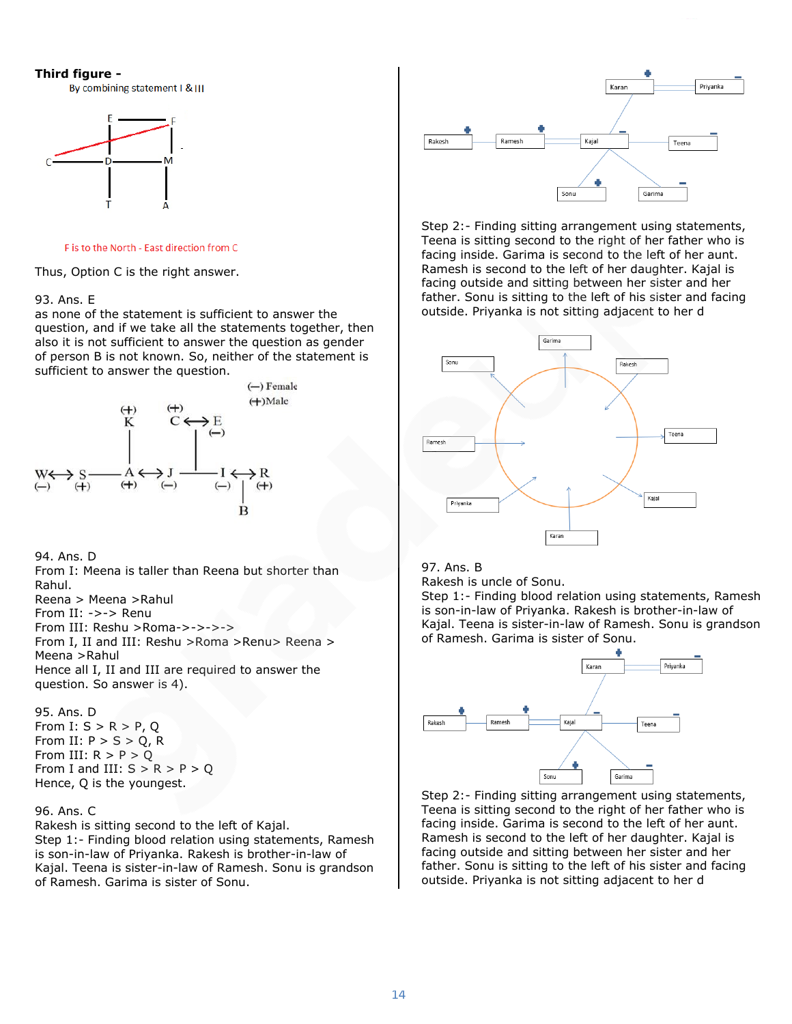#### **Third figure -**

By combining statement I & III



F is to the North - East direction from C

Thus, Option C is the right answer.

#### 93. Ans. E

as none of the statement is sufficient to answer the question, and if we take all the statements together, then also it is not sufficient to answer the question as gender of person B is not known. So, neither of the statement is sufficient to answer the question.



94. Ans. D From I: Meena is taller than Reena but shorter than Rahul. Reena > Meena >Rahul From II: ->-> Renu From III: Reshu >Roma->->->-> From I, II and III: Reshu >Roma >Renu> Reena > Meena >Rahul Hence all I, II and III are required to answer the question. So answer is 4).

#### 95. Ans. D

From I:  $S > R > P$ , Q From II:  $P > S > Q$ , R From III:  $R > P > Q$ From I and III:  $S > R > P > Q$ Hence, Q is the youngest.

#### 96. Ans. C

Rakesh is sitting second to the left of Kajal. Step 1:- Finding blood relation using statements, Ramesh is son-in-law of Priyanka. Rakesh is brother-in-law of Kajal. Teena is sister-in-law of Ramesh. Sonu is grandson of Ramesh. Garima is sister of Sonu.



Step 2:- Finding sitting arrangement using statements, Teena is sitting second to the right of her father who is facing inside. Garima is second to the left of her aunt. Ramesh is second to the left of her daughter. Kajal is facing outside and sitting between her sister and her father. Sonu is sitting to the left of his sister and facing outside. Priyanka is not sitting adjacent to her d



# 97. Ans. B

Rakesh is uncle of Sonu.

Step 1:- Finding blood relation using statements, Ramesh is son-in-law of Priyanka. Rakesh is brother-in-law of Kajal. Teena is sister-in-law of Ramesh. Sonu is grandson of Ramesh. Garima is sister of Sonu.



Step 2:- Finding sitting arrangement using statements, Teena is sitting second to the right of her father who is facing inside. Garima is second to the left of her aunt. Ramesh is second to the left of her daughter. Kajal is facing outside and sitting between her sister and her father. Sonu is sitting to the left of his sister and facing outside. Priyanka is not sitting adjacent to her d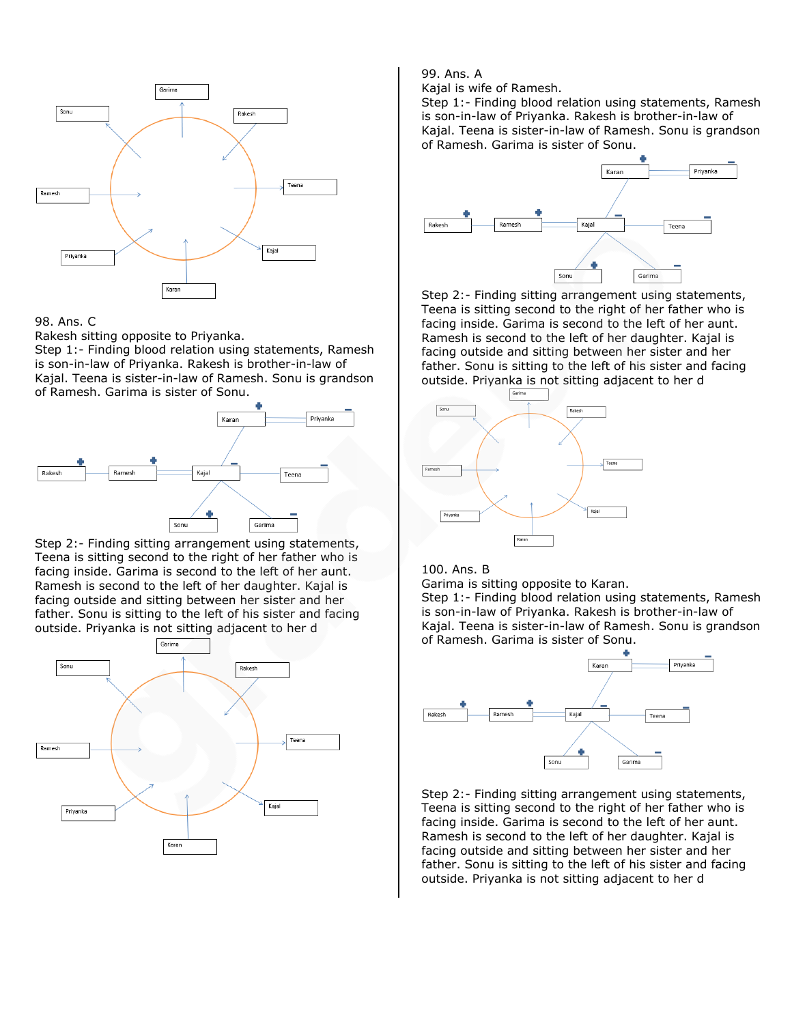

Rakesh sitting opposite to Priyanka.

Step 1:- Finding blood relation using statements, Ramesh is son-in-law of Priyanka. Rakesh is brother-in-law of Kajal. Teena is sister-in-law of Ramesh. Sonu is grandson of Ramesh. Garima is sister of Sonu.



Step 2:- Finding sitting arrangement using statements, Teena is sitting second to the right of her father who is facing inside. Garima is second to the left of her aunt. Ramesh is second to the left of her daughter. Kajal is facing outside and sitting between her sister and her father. Sonu is sitting to the left of his sister and facing outside. Priyanka is not sitting adjacent to her d



99. Ans. A

Kajal is wife of Ramesh.

Step 1:- Finding blood relation using statements, Ramesh is son-in-law of Priyanka. Rakesh is brother-in-law of Kajal. Teena is sister-in-law of Ramesh. Sonu is grandson of Ramesh. Garima is sister of Sonu.



Step 2:- Finding sitting arrangement using statements, Teena is sitting second to the right of her father who is facing inside. Garima is second to the left of her aunt. Ramesh is second to the left of her daughter. Kajal is facing outside and sitting between her sister and her father. Sonu is sitting to the left of his sister and facing outside. Priyanka is not sitting adjacent to her d



#### 100. Ans. B

Garima is sitting opposite to Karan.

Step 1:- Finding blood relation using statements, Ramesh is son-in-law of Priyanka. Rakesh is brother-in-law of Kajal. Teena is sister-in-law of Ramesh. Sonu is grandson of Ramesh. Garima is sister of Sonu.



Step 2:- Finding sitting arrangement using statements, Teena is sitting second to the right of her father who is facing inside. Garima is second to the left of her aunt. Ramesh is second to the left of her daughter. Kajal is facing outside and sitting between her sister and her father. Sonu is sitting to the left of his sister and facing outside. Priyanka is not sitting adjacent to her d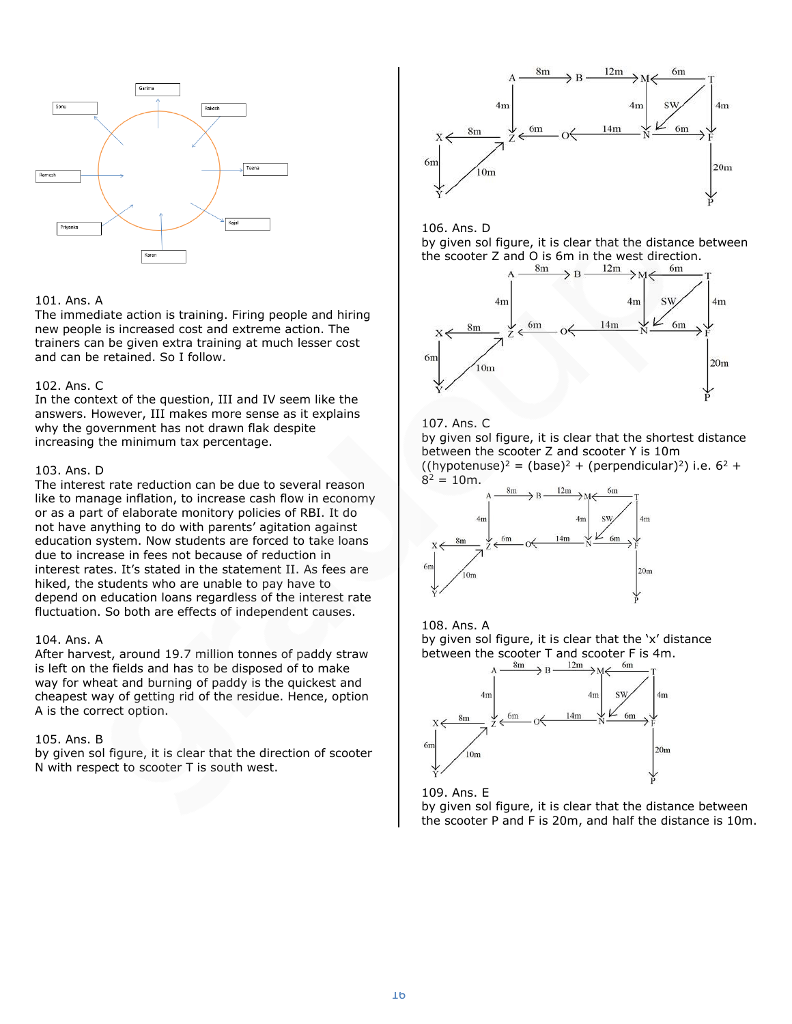

#### 101. Ans. A

The immediate action is training. Firing people and hiring new people is increased cost and extreme action. The trainers can be given extra training at much lesser cost and can be retained. So I follow.

#### 102. Ans. C

In the context of the question, III and IV seem like the answers. However, III makes more sense as it explains why the government has not drawn flak despite increasing the minimum tax percentage.

#### 103. Ans. D

The interest rate reduction can be due to several reason like to manage inflation, to increase cash flow in economy or as a part of elaborate monitory policies of RBI. It do not have anything to do with parents' agitation against education system. Now students are forced to take loans due to increase in fees not because of reduction in interest rates. It's stated in the statement II. As fees are hiked, the students who are unable to pay have to depend on education loans regardless of the interest rate fluctuation. So both are effects of independent causes.

#### 104. Ans. A

After harvest, around 19.7 million tonnes of paddy straw is left on the fields and has to be disposed of to make way for wheat and burning of paddy is the quickest and cheapest way of getting rid of the residue. Hence, option A is the correct option.

#### 105. Ans. B

by given sol figure, it is clear that the direction of scooter N with respect to scooter T is south west.







#### 107. Ans. C

by given sol figure, it is clear that the shortest distance between the scooter Z and scooter Y is 10m  $((hypotenuse)<sup>2</sup> = (base)<sup>2</sup> + (perpendicular)<sup>2</sup>)$  i.e.  $6<sup>2</sup> +$ 

 $8^2 = 10$ m.





by given sol figure, it is clear that the 'x' distance between the scooter T and scooter F is 4m.<br>  $A \xrightarrow{8m} B \xrightarrow{12m} M \xleftarrow{6m} T$ 





by given sol figure, it is clear that the distance between the scooter P and F is 20m, and half the distance is 10m.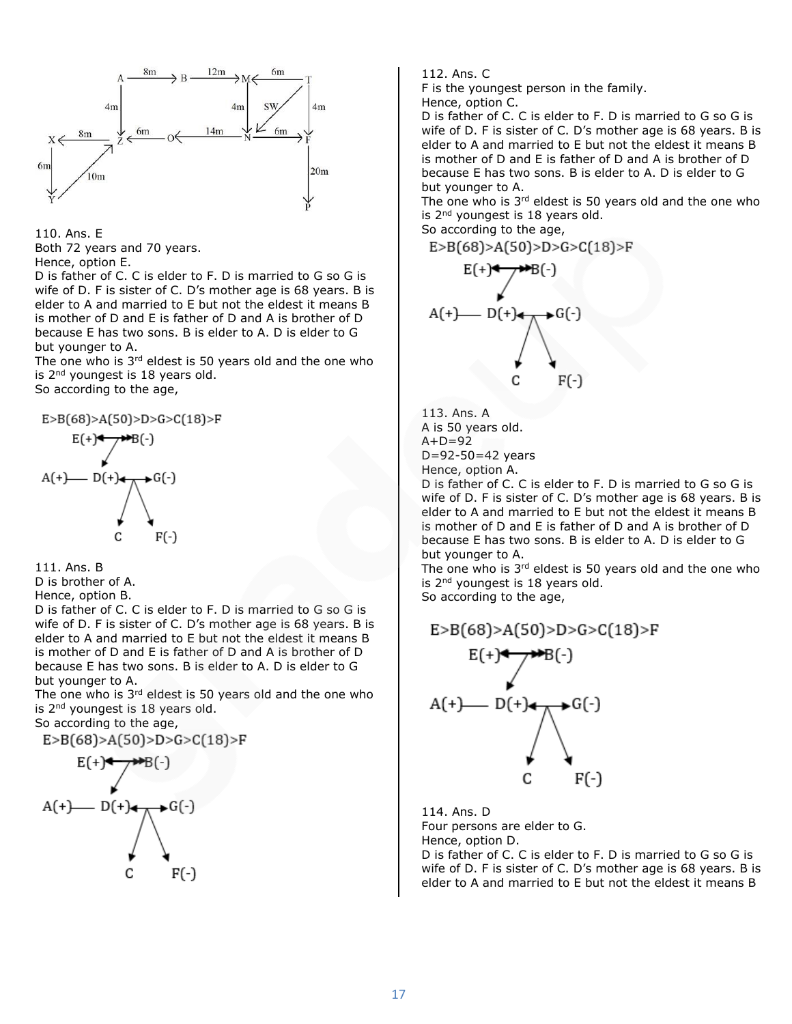



D is father of C. C is elder to F. D is married to G so G is wife of D. F is sister of C. D's mother age is 68 years. B is elder to A and married to E but not the eldest it means B is mother of D and E is father of D and A is brother of D because E has two sons. B is elder to A. D is elder to G but younger to A.

The one who is  $3<sup>rd</sup>$  eldest is 50 years old and the one who is 2<sup>nd</sup> youngest is 18 years old.

So according to the age,





D is brother of A.

Hence, option B.

D is father of C. C is elder to F. D is married to G so G is wife of D. F is sister of C. D's mother age is 68 years. B is elder to A and married to E but not the eldest it means B is mother of D and E is father of D and A is brother of D because E has two sons. B is elder to A. D is elder to G but younger to A.

The one who is  $3<sup>rd</sup>$  eldest is 50 years old and the one who is 2<sup>nd</sup> youngest is 18 years old.

So according to the age,

 $E > B(68) > A(50) > D > G > C(18) > F$ 

$$
E(+) \leftarrow \rightarrow B(-)
$$
\n
$$
A(+) \leftarrow D(+) \leftarrow \rightarrow G(-)
$$
\n
$$
C \leftarrow F(-)
$$

112. Ans. C

F is the youngest person in the family.

Hence, option C.

D is father of C. C is elder to F. D is married to G so G is wife of D. F is sister of C. D's mother age is 68 years. B is elder to A and married to E but not the eldest it means B is mother of D and E is father of D and A is brother of D because E has two sons. B is elder to A. D is elder to G but younger to A.

The one who is  $3<sup>rd</sup>$  eldest is 50 years old and the one who is 2<sup>nd</sup> youngest is 18 years old.

So according to the age,

 $E > B(68) > A(50) > D > G > C(18) > F$  $F(\pm)$   $\leftarrow$   $\rightarrow$   $F(\pm)$ 

$$
A(+) = D(+) \leftarrow C(-)
$$
\n
$$
C = F(-)
$$

113. Ans. A A is 50 years old.  $A+D=92$ D=92-50=42 years Hence, option A.

D is father of C. C is elder to F. D is married to G so G is wife of D. F is sister of C. D's mother age is 68 years. B is elder to A and married to E but not the eldest it means B is mother of D and E is father of D and A is brother of D because E has two sons. B is elder to A. D is elder to G but younger to A.

The one who is  $3<sup>rd</sup>$  eldest is 50 years old and the one who is 2<sup>nd</sup> youngest is 18 years old. So according to the age,

 $E > B(68) > A(50) > D > G > C(18) > F$  $- D(+)$  $\rightarrow$  G(-) C F(-)

114. Ans. D Four persons are elder to G. Hence, option D.

D is father of C. C is elder to F. D is married to G so G is wife of D. F is sister of C. D's mother age is 68 years. B is elder to A and married to E but not the eldest it means B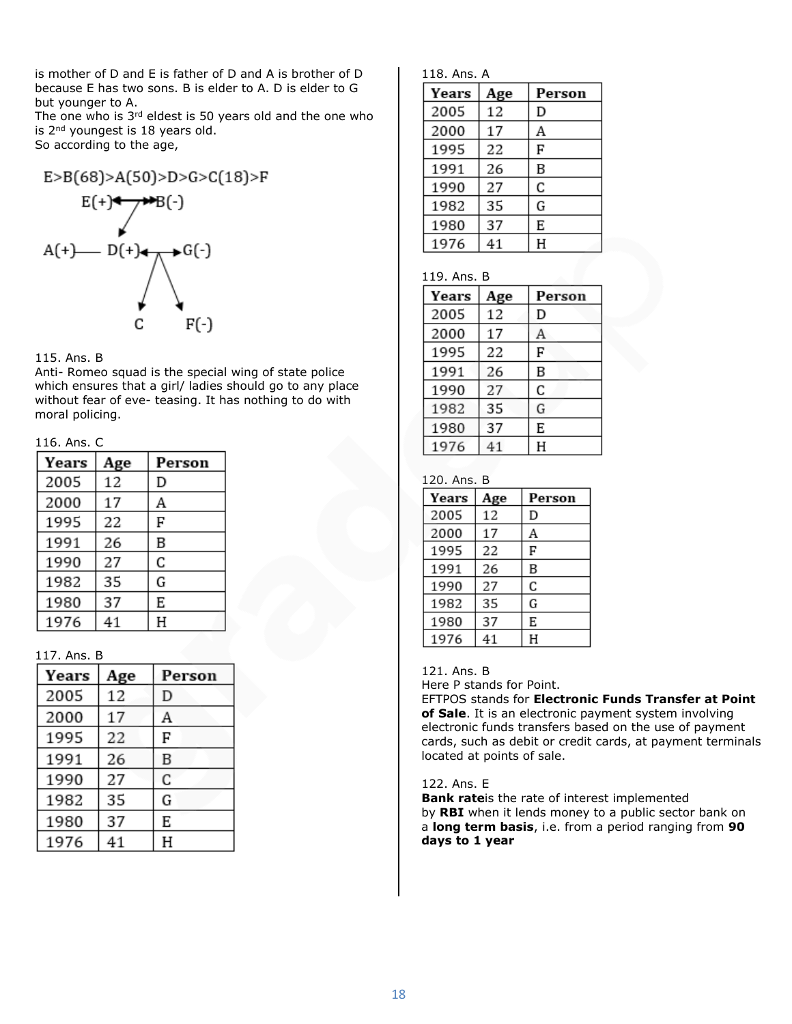is mother of D and E is father of D and A is brother of D because E has two sons. B is elder to A. D is elder to G but younger to A.

The one who is 3rd eldest is 50 years old and the one who is 2<sup>nd</sup> youngest is 18 years old. So according to the age,



#### 115. Ans. B

Anti- Romeo squad is the special wing of state police which ensures that a girl/ ladies should go to any place without fear of eve- teasing. It has nothing to do with moral policing.

## 116. Ans. C

| Years | Age | Person |
|-------|-----|--------|
| 2005  | 12  | D      |
| 2000  | 17  | Α      |
| 1995  | 22  | F      |
| 1991  | 26  | B      |
| 1990  | 27  | C      |
| 1982  | 35  | G      |
| 1980  | 37  | E      |
| 1976  | 41  | Η      |

## 117. Ans. B

| Years | Age | Person |
|-------|-----|--------|
| 2005  | 12  | D      |
| 2000  | 17  | А      |
| 1995  | 22  | F      |
| 1991  | 26  | B      |
| 1990  | 27  | С      |
| 1982  | 35  | G      |
| 1980  | 37  | E      |
| 1976  | 41  | Η      |

| 118. Ans. A |  |
|-------------|--|
|             |  |

| Years | Age | Person |
|-------|-----|--------|
| 2005  | 12  | D      |
| 2000  | 17  | Α      |
| 1995  | 22  | F      |
| 1991  | 26  | B      |
| 1990  | 27  | C      |
| 1982  | 35  | G      |
| 1980  | 37  | E      |
| 1976  | 41  | Н      |

#### 119. Ans. B

| Years | Age | Person |
|-------|-----|--------|
| 2005  | 12  | D      |
| 2000  | 17  | А      |
| 1995  | 22  | F      |
| 1991  | 26  | B      |
| 1990  | 27  | C      |
| 1982  | 35  | G      |
| 1980  | 37  | E      |
| 1976  | 41  | Н      |

# 120. Ans. B

| Years | Age | Person |
|-------|-----|--------|
| 2005  | 12  | D      |
| 2000  | 17  | Α      |
| 1995  | 22  | F      |
| 1991  | 26  | B      |
| 1990  | 27  | C      |
| 1982  | 35  | G      |
| 1980  | 37  | E      |
| 1976  | 41  | Н      |

#### 121. Ans. B

Here P stands for Point.

EFTPOS stands for **Electronic Funds Transfer at Point of Sale**. It is an electronic payment system involving electronic funds transfers based on the use of payment cards, such as debit or credit cards, at payment terminals located at points of sale.

#### 122. Ans. E

**Bank rate**is the rate of interest implemented by **RBI** when it lends money to a public sector bank on a **long term basis**, i.e. from a period ranging from **90 days to 1 year**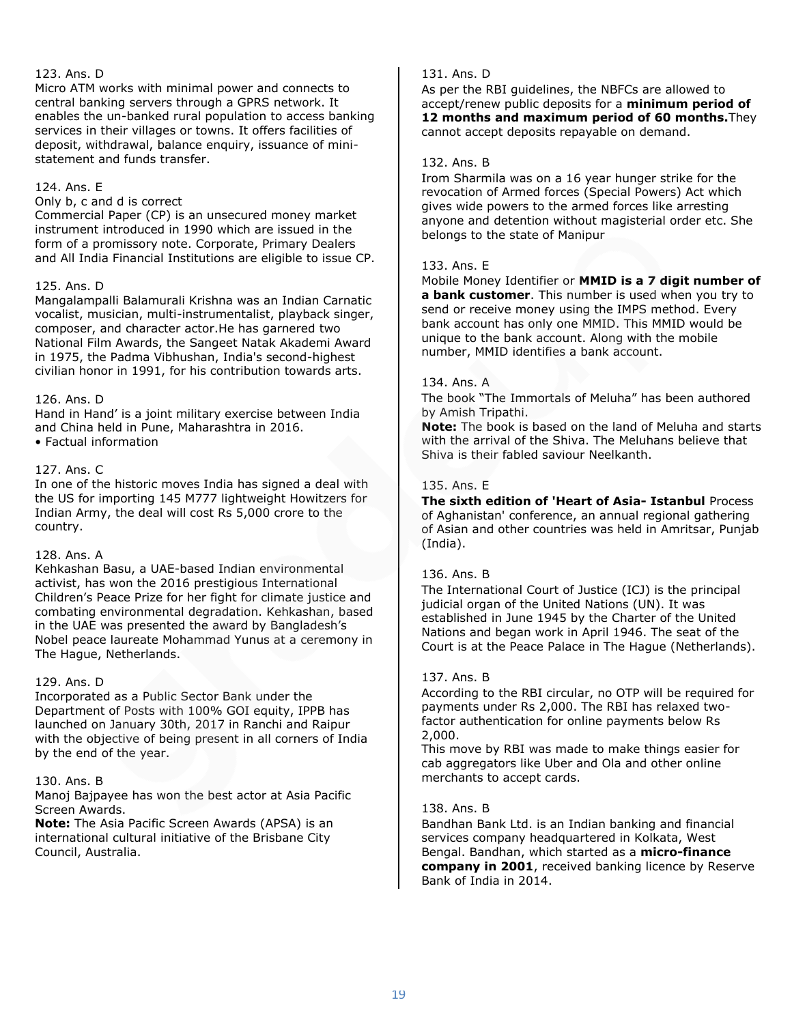# 123. Ans. D

Micro ATM works with minimal power and connects to central banking servers through a GPRS network. It enables the un-banked rural population to access banking services in their villages or towns. It offers facilities of deposit, withdrawal, balance enquiry, issuance of ministatement and funds transfer.

#### 124. Ans. E

Only b, c and d is correct

Commercial Paper (CP) is an unsecured money market instrument introduced in 1990 which are issued in the form of a promissory note. Corporate, Primary Dealers and All India Financial Institutions are eligible to issue CP.

#### 125. Ans. D

Mangalampalli Balamurali Krishna was an Indian Carnatic vocalist, musician, multi-instrumentalist, playback singer, composer, and character actor.He has garnered two National Film Awards, the Sangeet Natak Akademi Award in 1975, the Padma Vibhushan, India's second-highest civilian honor in 1991, for his contribution towards arts.

#### 126. Ans. D

Hand in Hand' is a joint military exercise between India and China held in Pune, Maharashtra in 2016. • Factual information

#### 127. Ans. C

In one of the historic moves India has signed a deal with the US for importing 145 M777 lightweight Howitzers for Indian Army, the deal will cost Rs 5,000 crore to the country.

# 128. Ans. A

Kehkashan Basu, a UAE-based Indian environmental activist, has won the 2016 prestigious International Children's Peace Prize for her fight for climate justice and combating environmental degradation. Kehkashan, based in the UAE was presented the award by Bangladesh's Nobel peace laureate Mohammad Yunus at a ceremony in The Hague, Netherlands.

#### 129. Ans. D

Incorporated as a Public Sector Bank under the Department of Posts with 100% GOI equity, IPPB has launched on January 30th, 2017 in Ranchi and Raipur with the objective of being present in all corners of India by the end of the year.

#### 130. Ans. B

Manoj Bajpayee has won the best actor at Asia Pacific Screen Awards.

**Note:** The Asia Pacific Screen Awards (APSA) is an international cultural initiative of the Brisbane City Council, Australia.

## 131. Ans. D

As per the RBI guidelines, the NBFCs are allowed to accept/renew public deposits for a **minimum period of 12 months and maximum period of 60 months.**They cannot accept deposits repayable on demand.

#### 132. Ans. B

Irom Sharmila was on a 16 year hunger strike for the revocation of Armed forces (Special Powers) Act which gives wide powers to the armed forces like arresting anyone and detention without magisterial order etc. She belongs to the state of Manipur

#### 133. Ans. E

Mobile Money Identifier or **MMID is a 7 digit number of a bank customer**. This number is used when you try to send or receive money using the IMPS method. Every bank account has only one MMID. This MMID would be unique to the bank account. Along with the mobile number, MMID identifies a bank account.

#### 134. Ans. A

The book "The Immortals of Meluha" has been authored by Amish Tripathi.

**Note:** The book is based on the land of Meluha and starts with the arrival of the Shiva. The Meluhans believe that Shiva is their fabled saviour Neelkanth.

# 135. Ans. E

**The sixth edition of 'Heart of Asia- Istanbul** Process of Aghanistan' conference, an annual regional gathering of Asian and other countries was held in Amritsar, Punjab (India).

#### 136. Ans. B

The International Court of Justice (ICJ) is the principal judicial organ of the United Nations (UN). It was established in June 1945 by the Charter of the United Nations and began work in April 1946. The seat of the Court is at the Peace Palace in The Hague (Netherlands).

#### 137. Ans. B

According to the RBI circular, no OTP will be required for payments under Rs 2,000. The RBI has relaxed twofactor authentication for online payments below Rs 2,000.

This move by RBI was made to make things easier for cab aggregators like Uber and Ola and other online merchants to accept cards.

#### 138. Ans. B

Bandhan Bank Ltd. is an Indian banking and financial services company headquartered in Kolkata, West Bengal. Bandhan, which started as a **micro-finance company in 2001**, received banking licence by Reserve Bank of India in 2014.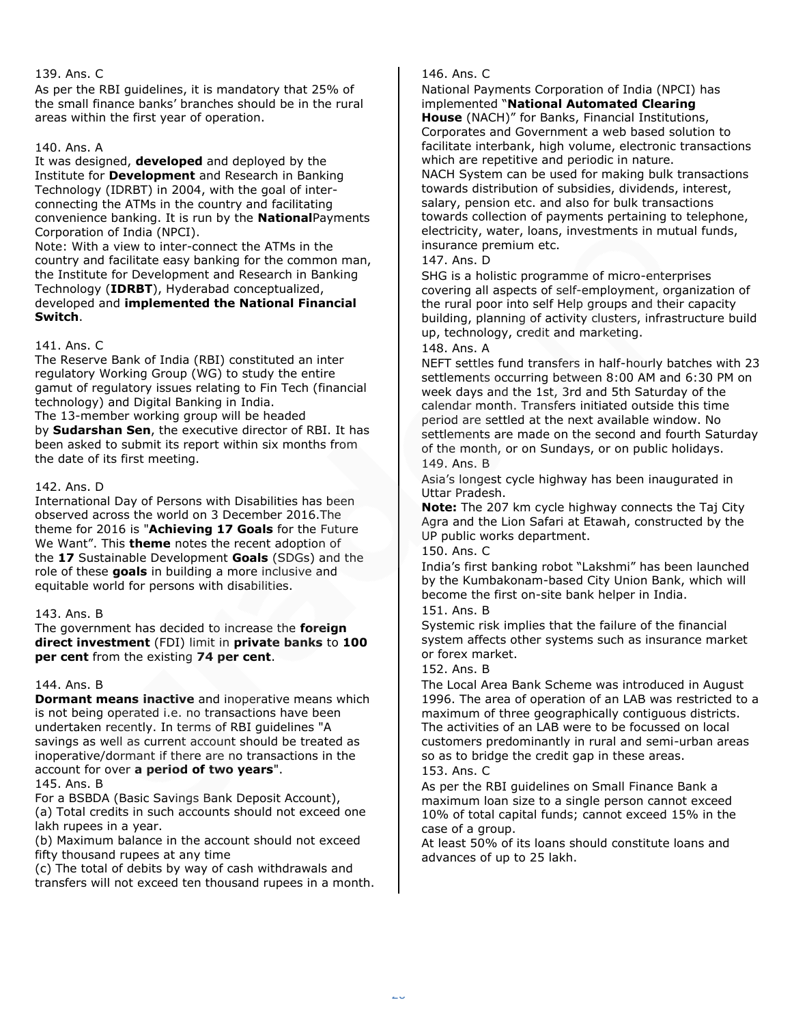As per the RBI guidelines, it is mandatory that 25% of the small finance banks' branches should be in the rural areas within the first year of operation.

# 140. Ans. A

It was designed, **developed** and deployed by the Institute for **Development** and Research in Banking Technology (IDRBT) in 2004, with the goal of interconnecting the ATMs in the country and facilitating convenience banking. It is run by the **National**Payments Corporation of India (NPCI).

Note: With a view to inter-connect the ATMs in the country and facilitate easy banking for the common man, the Institute for Development and Research in Banking Technology (**IDRBT**), Hyderabad conceptualized, developed and **implemented the National Financial Switch**.

# 141. Ans. C

The Reserve Bank of India (RBI) constituted an inter regulatory Working Group (WG) to study the entire gamut of regulatory issues relating to Fin Tech (financial technology) and Digital Banking in India. The 13-member working group will be headed by **Sudarshan Sen**, the executive director of RBI. It has been asked to submit its report within six months from the date of its first meeting.

# 142. Ans. D

International Day of Persons with Disabilities has been observed across the world on 3 December 2016.The theme for 2016 is "**Achieving 17 Goals** for the Future We Want". This **theme** notes the recent adoption of the **17** Sustainable Development **Goals** (SDGs) and the role of these **goals** in building a more inclusive and equitable world for persons with disabilities.

# 143. Ans. B

The government has decided to increase the **foreign direct investment** (FDI) limit in **private banks** to **100 per cent** from the existing **74 per cent**.

# 144. Ans. B

**Dormant means inactive** and inoperative means which is not being operated i.e. no transactions have been undertaken recently. In terms of RBI guidelines "A savings as well as current account should be treated as inoperative/dormant if there are no transactions in the account for over **a period of two years**". 145. Ans. B

For a BSBDA (Basic Savings Bank Deposit Account), (a) Total credits in such accounts should not exceed one lakh rupees in a year.

(b) Maximum balance in the account should not exceed fifty thousand rupees at any time

(c) The total of debits by way of cash withdrawals and transfers will not exceed ten thousand rupees in a month.

# 146. Ans. C

National Payments Corporation of India (NPCI) has implemented "**National Automated Clearing** 

**House** (NACH)" for Banks, Financial Institutions, Corporates and Government a web based solution to facilitate interbank, high volume, electronic transactions which are repetitive and periodic in nature. NACH System can be used for making bulk transactions towards distribution of subsidies, dividends, interest, salary, pension etc. and also for bulk transactions towards collection of payments pertaining to telephone, electricity, water, loans, investments in mutual funds, insurance premium etc.

# 147. Ans. D

SHG is a holistic programme of micro-enterprises covering all aspects of self-employment, organization of the rural poor into self Help groups and their capacity building, planning of activity clusters, infrastructure build up, technology, credit and marketing.

# 148. Ans. A

NEFT settles fund transfers in half-hourly batches with 23 settlements occurring between 8:00 AM and 6:30 PM on week days and the 1st, 3rd and 5th Saturday of the calendar month. Transfers initiated outside this time period are settled at the next available window. No settlements are made on the second and fourth Saturday of the month, or on Sundays, or on public holidays. 149. Ans. B

Asia's longest cycle highway has been inaugurated in Uttar Pradesh.

**Note:** The 207 km cycle highway connects the Taj City Agra and the Lion Safari at Etawah, constructed by the UP public works department.

150. Ans. C

India's first banking robot "Lakshmi" has been launched by the Kumbakonam-based City Union Bank, which will become the first on-site bank helper in India.

# 151. Ans. B

Systemic risk implies that the failure of the financial system affects other systems such as insurance market or forex market.

# 152. Ans. B

The Local Area Bank Scheme was introduced in August 1996. The area of operation of an LAB was restricted to a maximum of three geographically contiguous districts. The activities of an LAB were to be focussed on local customers predominantly in rural and semi-urban areas so as to bridge the credit gap in these areas.

# 153. Ans. C

As per the RBI guidelines on Small Finance Bank a maximum loan size to a single person cannot exceed 10% of total capital funds; cannot exceed 15% in the case of a group.

At least 50% of its loans should constitute loans and advances of up to 25 lakh.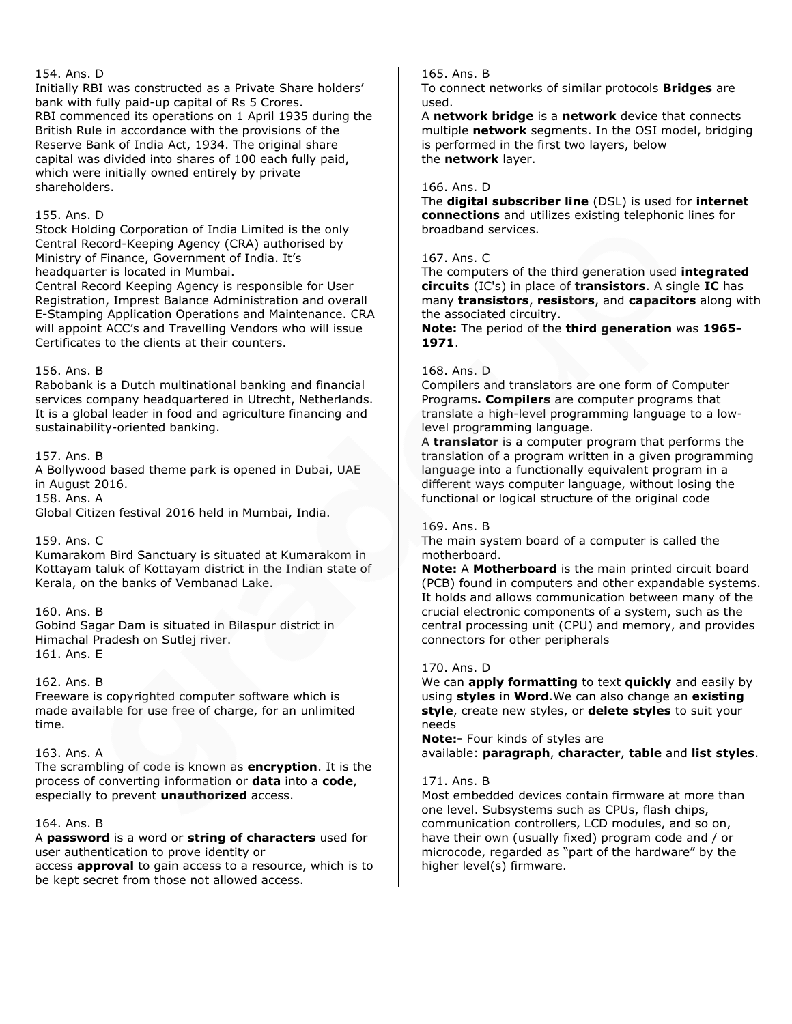## 154. Ans. D

Initially RBI was constructed as a Private Share holders' bank with fully paid-up capital of Rs 5 Crores. RBI commenced its operations on 1 April 1935 during the British Rule in accordance with the provisions of the Reserve Bank of India Act, 1934. The original share capital was divided into shares of 100 each fully paid, which were initially owned entirely by private shareholders.

## 155. Ans. D

Stock Holding Corporation of India Limited is the only Central Record-Keeping Agency (CRA) authorised by Ministry of Finance, Government of India. It's headquarter is located in Mumbai.

Central Record Keeping Agency is responsible for User Registration, Imprest Balance Administration and overall E-Stamping Application Operations and Maintenance. CRA will appoint ACC's and Travelling Vendors who will issue Certificates to the clients at their counters.

#### 156. Ans. B

Rabobank is a Dutch multinational banking and financial services company headquartered in Utrecht, Netherlands. It is a global leader in food and agriculture financing and sustainability-oriented banking.

#### 157. Ans. B

A Bollywood based theme park is opened in Dubai, UAE in August 2016. 158. Ans. A

Global Citizen festival 2016 held in Mumbai, India.

# 159. Ans. C

Kumarakom Bird Sanctuary is situated at Kumarakom in Kottayam taluk of Kottayam district in the Indian state of Kerala, on the banks of Vembanad Lake.

# 160. Ans. B

Gobind Sagar Dam is situated in Bilaspur district in Himachal Pradesh on Sutlej river. 161. Ans. E

#### 162. Ans. B

Freeware is copyrighted computer software which is made available for use free of charge, for an unlimited time.

#### 163. Ans. A

The scrambling of code is known as **encryption**. It is the process of converting information or **data** into a **code**, especially to prevent **unauthorized** access.

#### 164. Ans. B

A **password** is a word or **string of characters** used for user authentication to prove identity or

access **approval** to gain access to a resource, which is to be kept secret from those not allowed access.

#### 165. Ans. B

To connect networks of similar protocols **Bridges** are used.

A **network bridge** is a **network** device that connects multiple **network** segments. In the OSI model, bridging is performed in the first two layers, below the **network** layer.

#### 166. Ans. D

The **digital subscriber line** (DSL) is used for **internet connections** and utilizes existing telephonic lines for broadband services.

## 167. Ans. C

The computers of the third generation used **integrated circuits** (IC's) in place of **transistors**. A single **IC** has many **transistors**, **resistors**, and **capacitors** along with the associated circuitry.

**Note:** The period of the **third generation** was **1965- 1971**.

#### 168. Ans. D

Compilers and translators are one form of Computer Programs**. Compilers** are computer programs that translate a high-level programming language to a lowlevel programming language.

A **translator** is a computer program that performs the translation of a program written in a given programming language into a functionally equivalent program in a different ways computer language, without losing the functional or logical structure of the original code

#### 169. Ans. B

The main system board of a computer is called the motherboard.

**Note:** A **Motherboard** is the main printed circuit board (PCB) found in computers and other expandable systems. It holds and allows communication between many of the crucial electronic components of a system, such as the central processing unit (CPU) and memory, and provides connectors for other peripherals

## 170. Ans. D

We can **apply formatting** to text **quickly** and easily by using **styles** in **Word**.We can also change an **existing style**, create new styles, or **delete styles** to suit your needs

**Note:-** Four kinds of styles are available: **paragraph**, **character**, **table** and **list styles**.

#### 171. Ans. B

Most embedded devices contain firmware at more than one level. Subsystems such as CPUs, flash chips, communication controllers, LCD modules, and so on, have their own (usually fixed) program code and / or microcode, regarded as "part of the hardware" by the higher level(s) firmware.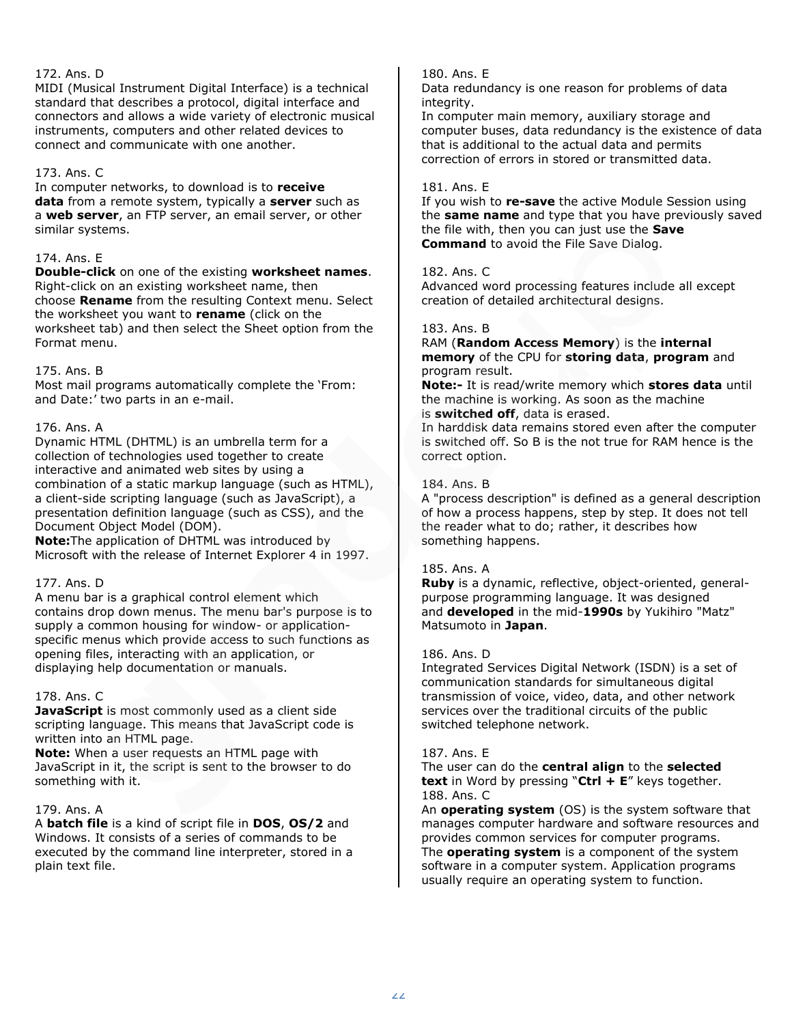# 172. Ans. D

MIDI (Musical Instrument Digital Interface) is a technical standard that describes a protocol, digital interface and connectors and allows a wide variety of electronic musical instruments, computers and other related devices to connect and communicate with one another.

# 173. Ans. C

In computer networks, to download is to **receive data** from a remote system, typically a **server** such as a **web server**, an FTP server, an email server, or other similar systems.

# 174. Ans. E

**Double-click** on one of the existing **worksheet names**. Right-click on an existing worksheet name, then choose **Rename** from the resulting Context menu. Select the worksheet you want to **rename** (click on the worksheet tab) and then select the Sheet option from the Format menu.

# 175. Ans. B

Most mail programs automatically complete the 'From: and Date:' two parts in an e-mail.

# 176. Ans. A

Dynamic HTML (DHTML) is an umbrella term for a collection of technologies used together to create interactive and animated web sites by using a combination of a static markup language (such as HTML), a client-side scripting language (such as JavaScript), a presentation definition language (such as CSS), and the Document Object Model (DOM).

**Note:**The application of DHTML was introduced by Microsoft with the release of Internet Explorer 4 in 1997.

# 177. Ans. D

A menu bar is a graphical control element which contains drop down menus. The menu bar's purpose is to supply a common housing for window- or applicationspecific menus which provide access to such functions as opening files, interacting with an application, or displaying help documentation or manuals.

# 178. Ans. C

**JavaScript** is most commonly used as a client side scripting language. This means that JavaScript code is written into an HTML page.

**Note:** When a user requests an HTML page with JavaScript in it, the script is sent to the browser to do something with it.

# 179. Ans. A

A **batch file** is a kind of script file in **DOS**, **OS/2** and Windows. It consists of a series of commands to be executed by the command line interpreter, stored in a plain text file.

# 180. Ans. E

Data redundancy is one reason for problems of data integrity.

In computer main memory, auxiliary storage and computer buses, data redundancy is the existence of data that is additional to the actual data and permits correction of errors in stored or transmitted data.

## 181. Ans. E

If you wish to **re-save** the active Module Session using the **same name** and type that you have previously saved the file with, then you can just use the **Save Command** to avoid the File Save Dialog.

# 182. Ans. C

Advanced word processing features include all except creation of detailed architectural designs.

# 183. Ans. B

#### RAM (**Random Access Memory**) is the **internal memory** of the CPU for **storing data**, **program** and program result.

**Note:-** It is read/write memory which **stores data** until the machine is working. As soon as the machine is **switched off**, data is erased.

In harddisk data remains stored even after the computer is switched off. So B is the not true for RAM hence is the correct option.

# 184. Ans. B

A "process description" is defined as a general description of how a process happens, step by step. It does not tell the reader what to do; rather, it describes how something happens.

# 185. Ans. A

**Ruby** is a dynamic, reflective, object-oriented, generalpurpose programming language. It was designed and **developed** in the mid-**1990s** by Yukihiro "Matz" Matsumoto in **Japan**.

# 186. Ans. D

Integrated Services Digital Network (ISDN) is a set of communication standards for simultaneous digital transmission of voice, video, data, and other network services over the traditional circuits of the public switched telephone network.

# 187. Ans. E

The user can do the **central align** to the **selected text** in Word by pressing "**Ctrl + E**" keys together. 188. Ans. C

An **operating system** (OS) is the system software that manages computer hardware and software resources and provides common services for computer programs. The **operating system** is a component of the system software in a computer system. Application programs usually require an operating system to function.